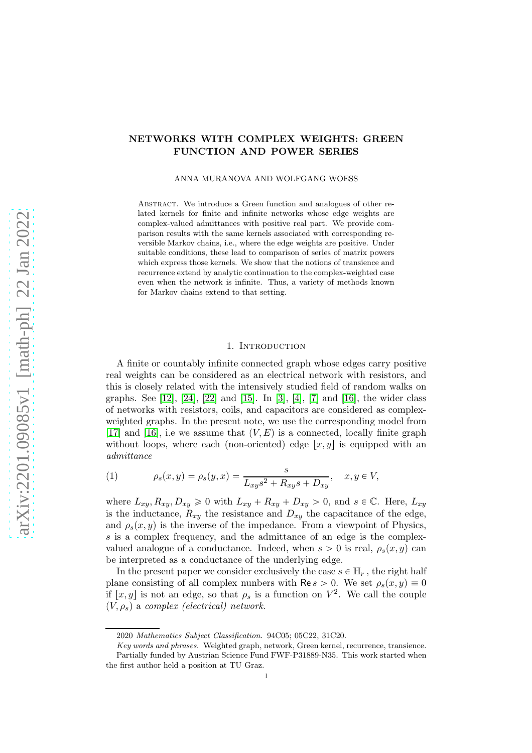# NETWORKS WITH COMPLEX WEIGHTS: GREEN FUNCTION AND POWER SERIES

### ANNA MURANOVA AND WOLFGANG WOESS

ABSTRACT. We introduce a Green function and analogues of other related kernels for finite and infinite networks whose edge weights are complex-valued admittances with positive real part. We provide comparison results with the same kernels associated with corresponding reversible Markov chains, i.e., where the edge weights are positive. Under suitable conditions, these lead to comparison of series of matrix powers which express those kernels. We show that the notions of transience and recurrence extend by analytic continuation to the complex-weighted case even when the network is infinite. Thus, a variety of methods known for Markov chains extend to that setting.

# 1. INTRODUCTION

A finite or countably infinite connected graph whose edges carry positive real weights can be considered as an electrical network with resistors, and this is closely related with the intensively studied field of random walks on graphs. See [\[12\]](#page-20-0), [\[24\]](#page-21-0), [\[22\]](#page-20-1) and [\[15\]](#page-20-2). In [\[3\]](#page-19-0), [\[4\]](#page-19-1), [\[7\]](#page-20-3) and [\[16\]](#page-20-4), the wider class of networks with resistors, coils, and capacitors are considered as complexweighted graphs. In the present note, we use the corresponding model from [\[17\]](#page-20-5) and [\[16\]](#page-20-4), i.e we assume that  $(V, E)$  is a connected, locally finite graph without loops, where each (non-oriented) edge  $[x, y]$  is equipped with an admittance

<span id="page-0-0"></span>(1) 
$$
\rho_s(x, y) = \rho_s(y, x) = \frac{s}{L_{xy}s^2 + R_{xy}s + D_{xy}}, \quad x, y \in V,
$$

where  $L_{xy}, R_{xy}, D_{xy} \geq 0$  with  $L_{xy} + R_{xy} + D_{xy} > 0$ , and  $s \in \mathbb{C}$ . Here,  $L_{xy}$ is the inductance,  $R_{xy}$  the resistance and  $D_{xy}$  the capacitance of the edge, and  $\rho_s(x, y)$  is the inverse of the impedance. From a viewpoint of Physics, s is a complex frequency, and the admittance of an edge is the complexvalued analogue of a conductance. Indeed, when  $s > 0$  is real,  $\rho_s(x, y)$  can be interpreted as a conductance of the underlying edge.

In the present paper we consider exclusively the case  $s \in \mathbb{H}_r$ , the right half plane consisting of all complex nunbers with Re  $s > 0$ . We set  $\rho_s(x, y) \equiv 0$ if  $[x, y]$  is not an edge, so that  $\rho_s$  is a function on  $V^2$ . We call the couple  $(V, \rho_s)$  a complex (electrical) network.

<sup>2020</sup> Mathematics Subject Classification. 94C05; 05C22, 31C20.

Key words and phrases. Weighted graph, network, Green kernel, recurrence, transience. Partially funded by Austrian Science Fund FWF-P31889-N35. This work started when the first author held a position at TU Graz.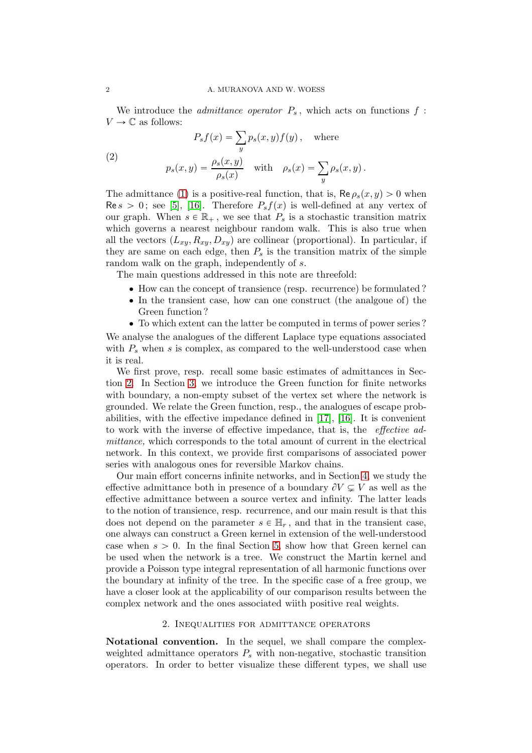We introduce the *admittance operator*  $P_s$ , which acts on functions  $f$ :  $V \to \mathbb{C}$  as follows:

(2) 
$$
P_s f(x) = \sum_{y} p_s(x, y) f(y), \text{ where}
$$

$$
p_s(x, y) = \frac{\rho_s(x, y)}{\rho_s(x)} \text{ with } \rho_s(x) = \sum_{y} \rho_s(x, y).
$$

The admittance [\(1\)](#page-0-0) is a positive-real function, that is,  $\text{Re } \rho_s(x, y) > 0$  when Re  $s > 0$ ; see [\[5\]](#page-20-6), [\[16\]](#page-20-4). Therefore  $P_s f(x)$  is well-defined at any vertex of our graph. When  $s \in \mathbb{R}_+$ , we see that  $P_s$  is a stochastic transition matrix which governs a nearest neighbour random walk. This is also true when all the vectors  $(L_{xy}, R_{xy}, D_{xy})$  are collinear (proportional). In particular, if they are same on each edge, then  $P_s$  is the transition matrix of the simple random walk on the graph, independently of s.

The main questions addressed in this note are threefold:

- ' How can the concept of transience (resp. recurrence) be formulated ?
- ' In the transient case, how can one construct (the analgoue of) the Green function ?
- ' To which extent can the latter be computed in terms of power series ? We analyse the analogues of the different Laplace type equations associated with  $P_s$  when s is complex, as compared to the well-understood case when

it is real. We first prove, resp. recall some basic estimates of admittances in Section [2.](#page-1-0) In Section [3,](#page-3-0) we introduce the Green function for finite networks with boundary, a non-empty subset of the vertex set where the network is grounded. We relate the Green function, resp., the analogues of escape probabilities, with the effective impedance defined in [\[17\]](#page-20-5), [\[16\]](#page-20-4). It is convenient to work with the inverse of effective impedance, that is, the effective admittance, which corresponds to the total amount of current in the electrical network. In this context, we provide first comparisons of associated power series with analogous ones for reversible Markov chains.

Our main effort concerns infinite networks, and in Section [4,](#page-7-0) we study the effective admittance both in presence of a boundary  $\partial V \subsetneq V$  as well as the effective admittance between a source vertex and infinity. The latter leads to the notion of transience, resp. recurrence, and our main result is that this does not depend on the parameter  $s \in \mathbb{H}_r$ , and that in the transient case, one always can construct a Green kernel in extension of the well-understood case when  $s > 0$ . In the final Section [5,](#page-15-0) show how that Green kernel can be used when the network is a tree. We construct the Martin kernel and provide a Poisson type integral representation of all harmonic functions over the boundary at infinity of the tree. In the specific case of a free group, we have a closer look at the applicability of our comparison results between the complex network and the ones associated wiith positive real weights.

## 2. Inequalities for admittance operators

<span id="page-1-0"></span>Notational convention. In the sequel, we shall compare the complexweighted admittance operators  $P_s$  with non-negative, stochastic transition operators. In order to better visualize these different types, we shall use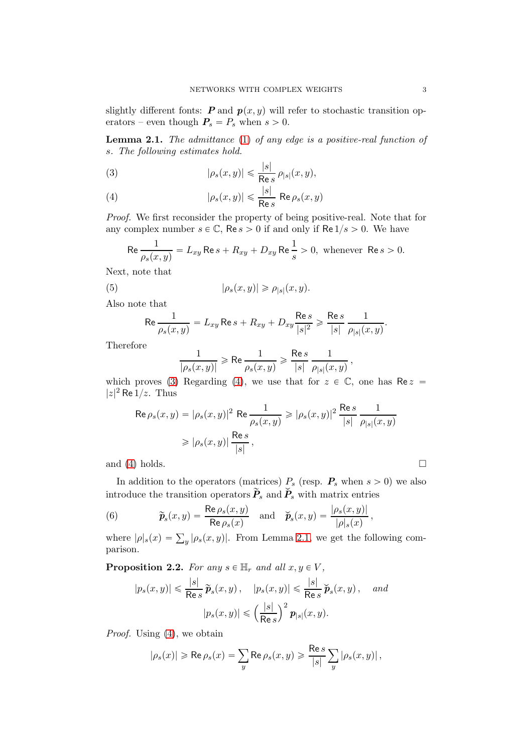slightly different fonts: **P** and  $p(x, y)$  will refer to stochastic transition operators – even though  $P_s = P_s$  when  $s > 0$ .

<span id="page-2-2"></span>**Lemma 2.1.** The admittance  $(1)$  of any edge is a positive-real function of s. The following estimates hold.

<span id="page-2-0"></span>(3) 
$$
|\rho_s(x,y)| \leq \frac{|s|}{\text{Re } s} \rho_{|s|}(x,y),
$$

<span id="page-2-1"></span>(4) 
$$
|\rho_s(x,y)| \leq \frac{|s|}{\text{Re } s} \text{ Re } \rho_s(x,y)
$$

Proof. We first reconsider the property of being positive-real. Note that for any complex number  $s \in \mathbb{C}$ , Re  $s > 0$  if and only if Re  $1/s > 0$ . We have

$$
\operatorname{Re}\frac{1}{\rho_s(x,y)} = L_{xy}\operatorname{Re}s + R_{xy} + D_{xy}\operatorname{Re}\frac{1}{s} > 0, \text{ whenever } \operatorname{Re}s > 0.
$$

Next, note that

(5) 
$$
|\rho_s(x,y)| \geq \rho_{|s|}(x,y).
$$

Also note that

$$
\text{Re} \, \frac{1}{\rho_s(x,y)} = L_{xy} \, \text{Re} \, s + R_{xy} + D_{xy} \frac{\text{Re} \, s}{|s|^2} \geqslant \frac{\text{Re} \, s}{|s|} \, \frac{1}{\rho_{|s|}(x,y)}
$$

Therefore

<span id="page-2-3"></span>
$$
\frac{1}{|\rho_s(x,y)|} \geqslant \text{Re} \, \frac{1}{\rho_s(x,y)} \geqslant \frac{\text{Re} \, s}{|s|} \, \frac{1}{\rho_{|s|}(x,y)},
$$

which proves [\(3\)](#page-2-0) Regarding [\(4\)](#page-2-1), we use that for  $z \in \mathbb{C}$ , one has Re  $z =$  $|z|^2$  Re  $1/z$ . Thus

$$
\operatorname{Re}\rho_s(x,y) = |\rho_s(x,y)|^2 \operatorname{Re}\frac{1}{\rho_s(x,y)} \ge |\rho_s(x,y)|^2 \frac{\operatorname{Re}s}{|s|} \frac{1}{\rho_{|s|}(x,y)}
$$

$$
\ge |\rho_s(x,y)| \frac{\operatorname{Re}s}{|s|},
$$

and [\(4\)](#page-2-1) holds.  $\Box$ 

In addition to the operators (matrices)  $P_s$  (resp.  $P_s$  when  $s > 0$ ) we also introduce the transition operators  $\widetilde{P}_s$  and  $\widetilde{P}_s$  with matrix entries

(6) 
$$
\widetilde{\boldsymbol{p}}_s(x,y) = \frac{\text{Re}\,\rho_s(x,y)}{\text{Re}\,\rho_s(x)} \quad \text{and} \quad \widetilde{\boldsymbol{p}}_s(x,y) = \frac{|\rho_s(x,y)|}{|\rho|_s(x)}
$$

where  $|\rho|_s(x) = \sum_y |\rho_s(x, y)|$ . From Lemma [2.1,](#page-2-2) we get the following comparison.

<span id="page-2-4"></span>**Proposition 2.2.** For any  $s \in \mathbb{H}_r$  and all  $x, y \in V$ ,

$$
|p_s(x,y)| \leqslant \frac{|s|}{\text{Re } s} \widetilde{\boldsymbol{p}}_s(x,y), \quad |p_s(x,y)| \leqslant \frac{|s|}{\text{Re } s} \widetilde{\boldsymbol{p}}_s(x,y), \quad \text{and}
$$

$$
|p_s(x,y)| \leqslant \left(\frac{|s|}{\text{Re } s}\right)^2 \boldsymbol{p}_{|s|}(x,y).
$$

Proof. Using [\(4\)](#page-2-1), we obtain

$$
|\rho_s(x)| \ge \text{Re}\,\rho_s(x) = \sum_y \text{Re}\,\rho_s(x,y) \ge \frac{\text{Re}\,s}{|s|} \sum_y |\rho_s(x,y)|,
$$

.

,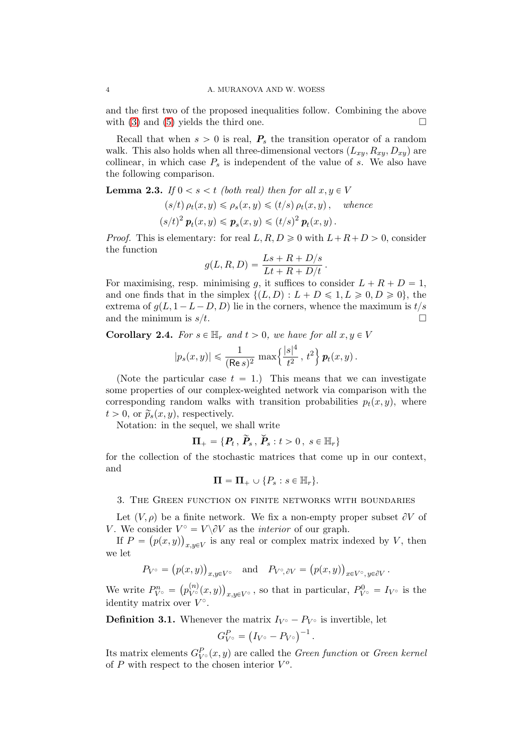and the first two of the proposed inequalities follow. Combining the above with [\(3\)](#page-2-0) and [\(5\)](#page-2-3) yields the third one.  $\square$ 

Recall that when  $s > 0$  is real,  $P_s$  the transition operator of a random walk. This also holds when all three-dimensional vectors  $(L_{xy}, R_{xy}, D_{xy})$  are collinear, in which case  $P<sub>s</sub>$  is independent of the value of s. We also have the following comparison.

<span id="page-3-2"></span>**Lemma 2.3.** If  $0 < s < t$  (both real) then for all  $x, y \in V$ 

$$
(s/t)\,\rho_t(x,y) \leq \rho_s(x,y) \leq (t/s)\,\rho_t(x,y), \quad \text{whence}
$$

$$
(s/t)^2 \,\mathbf{p}_t(x,y) \leq \mathbf{p}_s(x,y) \leq (t/s)^2 \,\mathbf{p}_t(x,y).
$$

*Proof.* This is elementary: for real  $L, R, D \geq 0$  with  $L+R+D > 0$ , consider the function

$$
g(L, R, D) = \frac{Ls + R + D/s}{Lt + R + D/t}.
$$

For maximising, resp. minimising q, it suffices to consider  $L + R + D = 1$ , and one finds that in the simplex  $\{(L, D) : L + D \leq 1, L \geq 0, D \geq 0\}$ , the extrema of  $g(L, 1-L-D, D)$  lie in the corners, whence the maximum is  $t/s$  and the minimum is  $s/t$ and the minimum is  $s/t$ .

<span id="page-3-1"></span>**Corollary 2.4.** For  $s \in \mathbb{H}_r$  and  $t > 0$ , we have for all  $x, y \in V$ 

$$
|p_s(x,y)| \leq \frac{1}{(\mathsf{Re}\, s)^2}\,\max\Bigl\{\frac{|s|^4}{t^2}\,,\, t^2\Bigr\}\, \textit{\textbf{p}}_t(x,y)\,.
$$

(Note the particular case  $t = 1$ .) This means that we can investigate some properties of our complex-weighted network via comparison with the corresponding random walks with transition probabilities  $p_t(x, y)$ , where  $t > 0$ , or  $\widetilde{p}_s(x, y)$ , respectively.

Notation: in the sequel, we shall write

 $\Pi_+ = \{P_t, \widetilde{P}_s, \widetilde{P}_s : t > 0, s \in \mathbb{H}_r\}$ 

for the collection of the stochastic matrices that come up in our context, and

$$
\mathbf{\Pi} = \mathbf{\Pi}_+ \cup \{P_s : s \in \mathbb{H}_r\}.
$$

<span id="page-3-0"></span>3. The Green function on finite networks with boundaries

Let  $(V, \rho)$  be a finite network. We fix a non-empty proper subset  $\partial V$  of V. We consider  $V^{\circ} = V \backslash \partial V$  as the *interior* of our graph.

If  $P = (p(x, y))_{x, y \in V}$  is any real or complex matrix indexed by V, then we let

$$
P_{V^{\circ}} = (p(x, y))_{x, y \in V^{\circ}} \quad \text{and} \quad P_{V^{\circ}, \partial V} = (p(x, y))_{x \in V^{\circ}, y \in \partial V}.
$$

We write  $P_{V^{\circ}}^n = (p_{V^{\circ}}^{(n)}(x, y))_{x, y \in V^{\circ}}$ , so that in particular,  $P_{V^{\circ}}^0 = I_{V^{\circ}}$  is the identity matrix over  $V^{\circ}$ .

**Definition 3.1.** Whenever the matrix  $I_{V^{\circ}} - P_{V^{\circ}}$  is invertible, let

$$
G_{V^{\circ}}^{P} = (I_{V^{\circ}} - P_{V^{\circ}})^{-1}.
$$

Its matrix elements  $G_{V^{\circ}}^P(x, y)$  are called the *Green function* or *Green kernel* of  $P$  with respect to the chosen interior  $V^o$ .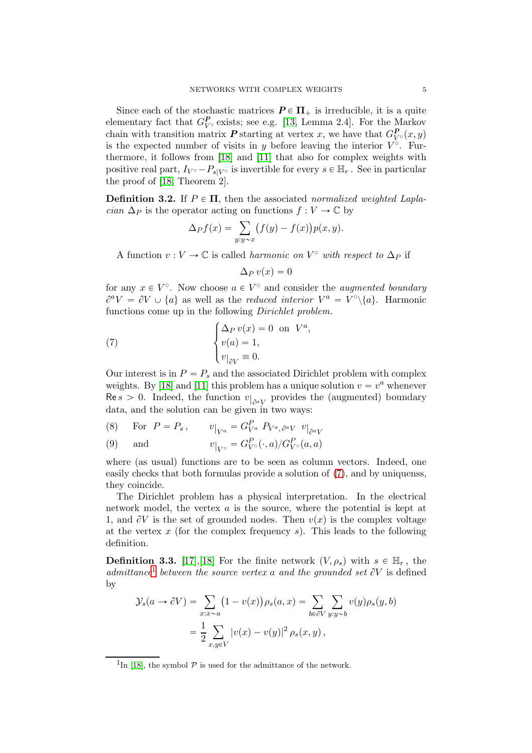Since each of the stochastic matrices  $P \in \Pi_+$  is irreducible, it is a quite elementary fact that  $G_V^P$  exists; see e.g. [\[13,](#page-20-7) Lemma 2.4]. For the Markov chain with transition matrix **P** starting at vertex x, we have that  $G_{V^{\circ}}^{P}(x, y)$ is the expected number of visits in y before leaving the interior  $V^{\circ}$ . Furthermore, it follows from [\[18\]](#page-20-8) and [\[11\]](#page-20-9) that also for complex weights with positive real part,  $I_{V} \circ -P_{s|V} \circ$  is invertible for every  $s \in \mathbb{H}_r$ . See in particular the proof of [\[18,](#page-20-8) Theorem 2].

**Definition 3.2.** If  $P \in \Pi$ , then the associated normalized weighted Laplacian  $\Delta_P$  is the operator acting on functions  $f: V \to \mathbb{C}$  by

$$
\Delta_P f(x) = \sum_{y:y \sim x} \bigl( f(y) - f(x) \bigr) p(x, y).
$$

A function  $v : V \to \mathbb{C}$  is called *harmonic on*  $V^{\circ}$  with respect to  $\Delta_P$  if

<span id="page-4-0"></span>
$$
\Delta_P v(x) = 0
$$

for any  $x \in V^{\circ}$ . Now choose  $a \in V^{\circ}$  and consider the *augmented boundary*  $\partial^a V = \partial V \cup \{a\}$  as well as the reduced interior  $V^a = V^{\circ}\{a\}$ . Harmonic functions come up in the following Dirichlet problem.

(7) 
$$
\begin{cases} \Delta_P v(x) = 0 \text{ on } V^a, \\ v(a) = 1, \\ v|_{\partial V} \equiv 0. \end{cases}
$$

Our interest is in  $P = P_s$  and the associated Dirichlet problem with complex weights. By [\[18\]](#page-20-8) and [\[11\]](#page-20-9) this problem has a unique solution  $v = v^a$  whenever  $\text{Re } s > 0$ . Indeed, the function  $v|_{\partial^a V}$  provides the (augmented) boundary data, and the solution can be given in two ways:

<span id="page-4-3"></span>(8) For 
$$
P = P_s
$$
,  $v|_{V^a} = G_{V^a}^P P_{V^a, \partial^a V} v|_{\partial^a V}$ 

<span id="page-4-2"></span>(9) and 
$$
v|_{V^{\circ}} = G_{V^{\circ}}^{P}(\cdot, a)/G_{V^{\circ}}^{P}(a, a)
$$

where (as usual) functions are to be seen as column vectors. Indeed, one easily checks that both formulas provide a solution of [\(7\)](#page-4-0), and by uniquenss, they coincide.

The Dirichlet problem has a physical interpretation. In the electrical network model, the vertex a is the source, where the potential is kept at 1, and  $\partial V$  is the set of grounded nodes. Then  $v(x)$  is the complex voltage at the vertex  $x$  (for the complex frequency s). This leads to the following definition.

<span id="page-4-4"></span>**Definition 3.3.** [\[17\]](#page-20-5), [\[18\]](#page-20-8) For the finite network  $(V, \rho_s)$  with  $s \in \mathbb{H}_r$ , the admittance<sup>[1](#page-4-1)</sup> between the source vertex a and the grounded set  $\partial V$  is defined by

$$
\mathcal{Y}_s(a \to \partial V) = \sum_{x:x \sim a} (1 - v(x)) \rho_s(a, x) = \sum_{b \in \partial V} \sum_{y:y \sim b} v(y) \rho_s(y, b)
$$

$$
= \frac{1}{2} \sum_{x,y \in V} |v(x) - v(y)|^2 \rho_s(x, y),
$$

<span id="page-4-1"></span><sup>&</sup>lt;sup>1</sup>In [\[18\]](#page-20-8), the symbol  $P$  is used for the admittance of the network.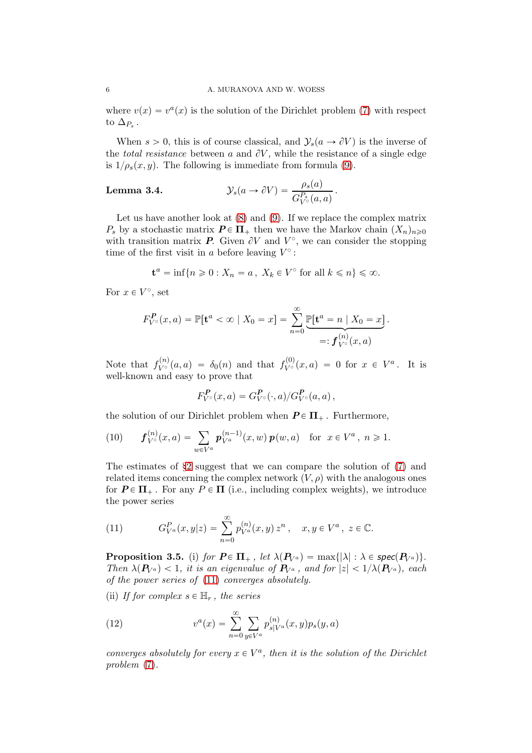where  $v(x) = v<sup>a</sup>(x)$  is the solution of the Dirichlet problem [\(7\)](#page-4-0) with respect to  $\Delta_{P_s}$  .

When  $s > 0$ , this is of course classical, and  $\mathcal{Y}_s(a \to \partial V)$  is the inverse of the *total resistance* between a and  $\partial V$ , while the resistance of a single edge is  $1/\rho_s(x, y)$ . The following is immediate from formula [\(9\)](#page-4-2).

# Lemma 3.4.

$$
\mathcal{Y}_s(a \to \partial V) = \frac{\rho_s(a)}{G_{V^\circ}^{P_s}(a,a)}.
$$

Let us have another look at [\(8\)](#page-4-3) and [\(9\)](#page-4-2). If we replace the complex matrix  $P_s$  by a stochastic matrix  $P \in \Pi_+$  then we have the Markov chain  $(X_n)_{n\geqslant0}$ with transition matrix **P**. Given  $\partial V$  and  $V^{\circ}$ , we can consider the stopping time of the first visit in a before leaving  $V^{\circ}$ :

$$
\mathbf{t}^a = \inf\{n \geq 0 : X_n = a, \ X_k \in V^{\circ} \text{ for all } k \leq n\} \leq \infty.
$$

For  $x \in V^{\circ}$ , set

$$
F_{V^{\circ}}^{\mathbf{P}}(x, a) = \mathbb{P}[\mathbf{t}^{a} < \infty \mid X_{0} = x] = \sum_{n=0}^{\infty} \underbrace{\mathbb{P}[\mathbf{t}^{a} = n \mid X_{0} = x]}_{=: \mathbf{f}_{V^{\circ}}^{(n)}(x, a)}.
$$

Note that  $f_{V^{\circ}}^{(n)}(a, a) = \delta_0(n)$  and that  $f_{V^{\circ}}^{(0)}(x, a) = 0$  for  $x \in V^a$ . It is well-known and easy to prove that

$$
F_{V^{\circ}}^{\mathbf{P}}(x,a) = G_{V^{\circ}}^{\mathbf{P}}(\cdot,a)/G_{V^{\circ}}^{\mathbf{P}}(a,a),
$$

the solution of our Dirichlet problem when  $P \in \Pi_+$ . Furthermore,

<span id="page-5-3"></span>(10) 
$$
\boldsymbol{f}_{V^{\circ}}^{(n)}(x,a) = \sum_{w \in V^a} \boldsymbol{p}_{V^a}^{(n-1)}(x,w) \boldsymbol{p}(w,a) \text{ for } x \in V^a, n \geq 1.
$$

The estimates of  $\S2$  $\S2$  suggest that we can compare the solution of  $(7)$  and related items concerning the complex network  $(V, \rho)$  with the analogous ones for  $P \in \Pi_+$ . For any  $P \in \Pi$  (i.e., including complex weights), we introduce the power series

<span id="page-5-0"></span>(11) 
$$
G_{V^a}^P(x,y|z) = \sum_{n=0}^{\infty} p_{V^a}^{(n)}(x,y) z^n, \quad x, y \in V^a, \ z \in \mathbb{C}.
$$

<span id="page-5-2"></span>**Proposition 3.5.** (i) for  $P \in \Pi_+$ , let  $\lambda(P_{V^a}) = \max\{|\lambda| : \lambda \in \text{spec}(P_{V^a})\}.$ Then  $\lambda(\mathbf{P}_{V_a}) < 1$ , it is an eigenvalue of  $\mathbf{P}_{V_a}$ , and for  $|z| < 1/\lambda(\mathbf{P}_{V_a})$ , each of the power series of [\(11\)](#page-5-0) converges absolutely.

(ii) If for complex  $s \in \mathbb{H}_r$ , the series

<span id="page-5-1"></span>(12) 
$$
v^{a}(x) = \sum_{n=0}^{\infty} \sum_{y \in V^{a}} p_{s|V^{a}}^{(n)}(x, y) p_{s}(y, a)
$$

converges absolutely for every  $x \in V^a$ , then it is the solution of the Dirichlet problem [\(7\)](#page-4-0).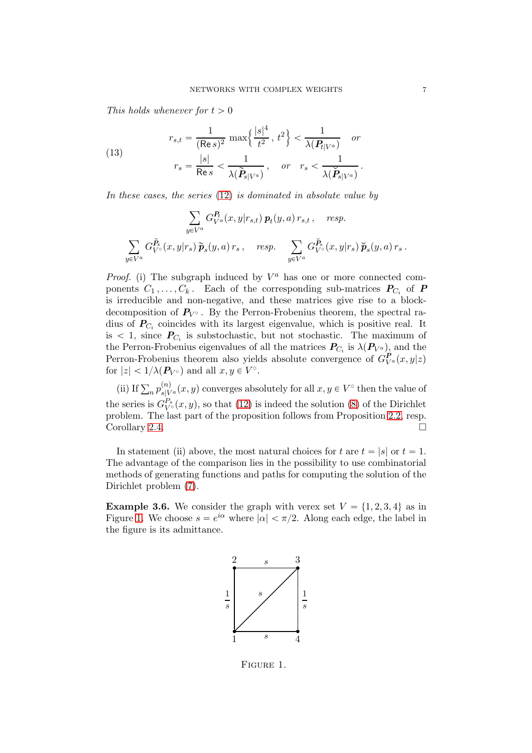This holds whenever for  $t > 0$ 

(13) 
$$
r_{s,t} = \frac{1}{(\text{Re } s)^2} \max \left\{ \frac{|s|^4}{t^2}, t^2 \right\} < \frac{1}{\lambda(\mathbf{P}_{t|V^a})} \quad or
$$

$$
r_s = \frac{|s|}{\text{Re } s} < \frac{1}{\lambda(\tilde{\mathbf{P}}_{s|V^a})}, \quad or \quad r_s < \frac{1}{\lambda(\check{\mathbf{P}}_{s|V^a})}.
$$

In these cases, the series [\(12\)](#page-5-1) is dominated in absolute value by

$$
\sum_{y \in V^a} G_{V^a}^{\mathbf{P}_t}(x, y | r_{s,t}) \, \mathbf{p}_t(y, a) \, r_{s,t} \, , \quad \text{resp.}
$$
\n
$$
\sum_{y \in V^a} G_{V^{\circ}}^{\tilde{\mathbf{P}}_s}(x, y | r_s) \, \tilde{\mathbf{p}}_s(y, a) \, r_s \, , \quad \text{resp.} \quad \sum_{y \in V^a} G_{V^{\circ}}^{\tilde{\mathbf{P}}_s}(x, y | r_s) \, \tilde{\mathbf{p}}_s(y, a) \, r_s \, .
$$

*Proof.* (i) The subgraph induced by  $V^a$  has one or more connected components  $C_1, \ldots, C_k$ . Each of the corresponding sub-matrices  $P_{C_i}$  of P is irreducible and non-negative, and these matrices give rise to a blockdecomposition of  $P_{V^{\circ}}$ . By the Perron-Frobenius theorem, the spectral radius of  $P_{C_i}$  coincides with its largest eigenvalue, which is positive real. It is  $\lt$  1, since  $P_{C_i}$  is substochastic, but not stochastic. The maximum of the Perron-Frobenius eigenvalues of all the matrices  $P_{C_i}$  is  $\lambda(P_{V^a})$ , and the Perron-Frobenius theorem also yields absolute convergence of  $G_{V^a}^P(x, y|z)$ for  $|z| < 1/\lambda(\boldsymbol{P}_{V^{\circ}})$  and all  $x, y \in V^{\circ}$ .

(ii) If  $\sum_n p_{s|V^a}^{(n)}(x, y)$  converges absolutely for all  $x, y \in V^{\circ}$  then the value of the series is  $G_{V^{\circ}}^{P_s}(x, y)$ , so that [\(12\)](#page-5-1) is indeed the solution [\(8\)](#page-4-3) of the Dirichlet problem. The last part of the proposition follows from Proposition [2.2,](#page-2-4) resp. Corollary [2.4.](#page-3-1)

In statement (ii) above, the most natural choices for t are  $t = |s|$  or  $t = 1$ . The advantage of the comparison lies in the possibility to use combinatorial methods of generating functions and paths for computing the solution of the Dirichlet problem [\(7\)](#page-4-0).

<span id="page-6-1"></span>**Example 3.6.** We consider the graph with verex set  $V = \{1, 2, 3, 4\}$  as in Figure [1.](#page-6-0) We choose  $s = e^{i\alpha}$  where  $|\alpha| < \pi/2$ . Along each edge, the label in the figure is its admittance.



<span id="page-6-0"></span>Figure 1.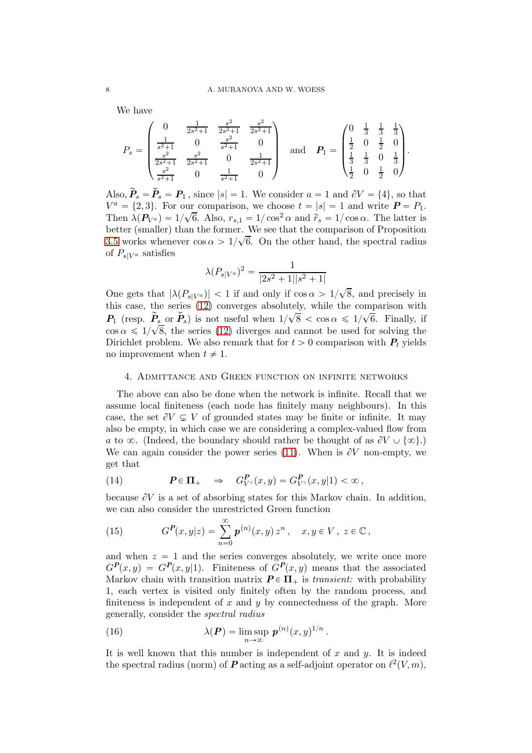We have

$$
P_s = \begin{pmatrix} 0 & \frac{1}{2s^2+1} & \frac{s^2}{2s^2+1} & \frac{s^2}{2s^2+1} \\ \frac{1}{s^2+1} & 0 & \frac{s^2}{s^2+1} & 0 \\ \frac{s^2}{2s^2+1} & \frac{s^2}{2s^2+1} & 0 & \frac{1}{2s^2+1} \\ \frac{s^2}{s^2+1} & 0 & \frac{1}{s^2+1} & 0 \end{pmatrix} \quad \text{and} \quad \mathbf{P}_1 = \begin{pmatrix} 0 & \frac{1}{3} & \frac{1}{3} & \frac{1}{3} \\ \frac{1}{2} & 0 & \frac{1}{2} & 0 \\ \frac{1}{3} & \frac{1}{3} & 0 & \frac{1}{3} \\ \frac{1}{2} & 0 & \frac{1}{2} & 0 \end{pmatrix}.
$$

Also,  $\widetilde{P}_s = \widetilde{P}_s = P_1$ , since  $|s| = 1$ . We consider  $a = 1$  and  $\partial V = \{4\}$ , so that  $V^a = \{2, 3\}$ . For our comparison, we choose  $t = |s| = 1$  and write  $P = P_1$ . Then  $\lambda(P_{V^a}) = 1/\sqrt{6}$ . Also,  $r_{s,1} = 1/\cos^2 \alpha$  and  $\tilde{r}_s = 1/\cos \alpha$ . The latter is better (smaller) than the former. We see that the comparison of Proposition [3.5](#page-5-2) works whenever  $\cos \alpha > 1/\sqrt{6}$ . On the other hand, the spectral radius of  $P_{s|V^a}$  satisfies

$$
\lambda(P_{s|V^a})^2 = \frac{1}{|2s^2+1||s^2+1|}
$$

One gets that  $|\lambda(P_{s|V^a})| < 1$  if and only if  $\cos \alpha > 1/\sqrt{8}$ , and precisely in this case, the series [\(12\)](#page-5-1) converges absolutely, while the comparison with  $P_1$  (resp.  $\widetilde{P}_s$  or  $\widetilde{P}_s$ ) is not useful when  $1/\sqrt{8} < \cos \alpha \leq 1/\sqrt{6}$ . Finally, if  $\cos \alpha \leq 1/\sqrt{8}$ , the series [\(12\)](#page-5-1) diverges and cannot be used for solving the Dirichlet problem. We also remark that for  $t > 0$  comparison with  $P_t$  yields no improvement when  $t \neq 1$ .

## <span id="page-7-0"></span>4. Admittance and Green function on infinite networks

The above can also be done when the network is infinite. Recall that we assume local finiteness (each node has finitely many neighbours). In this case, the set  $\partial V \subsetneq V$  of grounded states may be finite or infinite. It may also be empty, in which case we are considering a complex-valued flow from a to  $\infty$ . (Indeed, the boundary should rather be thought of as  $\partial V \cup {\infty}$ ). We can again consider the power series [\(11\)](#page-5-0). When is  $\partial V$  non-empty, we get that

<span id="page-7-1"></span>(14) 
$$
\boldsymbol{P} \in \boldsymbol{\Pi}_+ \quad \Rightarrow \quad G_{V^{\circ}}^{\boldsymbol{P}}(x,y) = G_{V^{\circ}}^{\boldsymbol{P}}(x,y|1) < \infty \,,
$$

because  $\partial V$  is a set of absorbing states for this Markov chain. In addition, we can also consider the unrestricted Green function

<span id="page-7-3"></span>(15) 
$$
G^{P}(x,y|z) = \sum_{n=0}^{\infty} p^{(n)}(x,y) z^{n}, \quad x, y \in V, z \in \mathbb{C},
$$

and when  $z = 1$  and the series converges absolutely, we write once more  $G^{\textbf{P}}(x, y) = G^{\textbf{P}}(x, y|1)$ . Finiteness of  $G^{\textbf{P}}(x, y)$  means that the associated Markov chain with transition matrix  $P \in \Pi_+$  is transient: with probability 1, each vertex is visited only finitely often by the random process, and finiteness is independent of  $x$  and  $y$  by connectedness of the graph. More generally, consider the spectral radius

<span id="page-7-2"></span>(16) 
$$
\lambda(\boldsymbol{P}) = \limsup_{n \to \infty} \, \boldsymbol{p}^{(n)}(x, y)^{1/n} \, .
$$

It is well known that this number is independent of  $x$  and  $y$ . It is indeed the spectral radius (norm) of  $\boldsymbol{P}$  acting as a self-adjoint operator on  $\ell^2(V, m)$ ,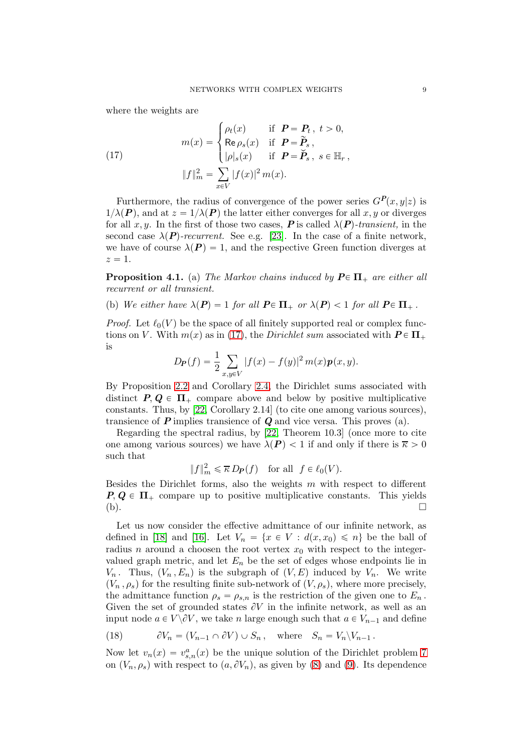where the weights are

<span id="page-8-0"></span>(17) 
$$
m(x) = \begin{cases} \rho_t(x) & \text{if } P = P_t, t > 0, \\ \text{Re } \rho_s(x) & \text{if } P = \tilde{P}_s, \\ |\rho|_s(x) & \text{if } P = \check{P}_s, s \in \mathbb{H}_r, \end{cases}
$$

$$
||f||_m^2 = \sum_{x \in V} |f(x)|^2 m(x).
$$

Furthermore, the radius of convergence of the power series  $G^P(x, y|z)$  is  $1/\lambda(P)$ , and at  $z = 1/\lambda(P)$  the latter either converges for all x, y or diverges for all x, y. In the first of those two cases, **P** is called  $\lambda(P)$ -transient, in the second case  $\lambda(P)$ -recurrent. See e.g. [\[23\]](#page-21-1). In the case of a finite network, we have of course  $\lambda(P) = 1$ , and the respective Green function diverges at  $z = 1$ .

<span id="page-8-1"></span>**Proposition 4.1.** (a) The Markov chains induced by  $P \in \Pi_+$  are either all recurrent or all transient.

(b) We either have  $\lambda(P) = 1$  for all  $P \in \Pi_+$  or  $\lambda(P) < 1$  for all  $P \in \Pi_+$ .

*Proof.* Let  $\ell_0(V)$  be the space of all finitely supported real or complex functions on V. With  $m(x)$  as in [\(17\)](#page-8-0), the *Dirichlet sum* associated with  $P \in \Pi_+$ is

$$
D_{\mathbf{P}}(f) = \frac{1}{2} \sum_{x,y \in V} |f(x) - f(y)|^2 m(x) \mathbf{p}(x, y).
$$

By Proposition [2.2](#page-2-4) and Corollary [2.4,](#page-3-1) the Dirichlet sums associated with distinct  $P, Q \in \Pi_+$  compare above and below by positive multiplicative constants. Thus, by [\[22,](#page-20-1) Corollary 2.14] (to cite one among various sources), transience of  $P$  implies transience of  $Q$  and vice versa. This proves (a).

Regarding the spectral radius, by [\[22,](#page-20-1) Theorem 10.3] (once more to cite one among various sources) we have  $\lambda(P) < 1$  if and only if there is  $\overline{\kappa} > 0$ such that

$$
||f||_m^2 \le \overline{\kappa} D_P(f) \quad \text{for all} \ \ f \in \ell_0(V).
$$

Besides the Dirichlet forms, also the weights  $m$  with respect to different  $P, Q \in \Pi_+$  compare up to positive multiplicative constants. This yields (b). (b).

Let us now consider the effective admittance of our infinite network, as defined in [\[18\]](#page-20-8) and [\[16\]](#page-20-4). Let  $V_n = \{x \in V : d(x, x_0) \leq n\}$  be the ball of radius n around a choosen the root vertex  $x_0$  with respect to the integervalued graph metric, and let  $E_n$  be the set of edges whose endpoints lie in  $V_n$ . Thus,  $(V_n, E_n)$  is the subgraph of  $(V, E)$  induced by  $V_n$ . We write  $(V_n, \rho_s)$  for the resulting finite sub-network of  $(V, \rho_s)$ , where more precisely, the admittance function  $\rho_s = \rho_{s,n}$  is the restriction of the given one to  $E_n$ . Given the set of grounded states  $\partial V$  in the infinite network, as well as an input node  $a \in V \backslash \partial V$ , we take n large enough such that  $a \in V_{n-1}$  and define

(18) 
$$
\partial V_n = (V_{n-1} \cap \partial V) \cup S_n, \text{ where } S_n = V_n \backslash V_{n-1}.
$$

Now let  $v_n(x) = v_{s,n}(x)$  be the unique solution of the Dirichlet problem [7](#page-4-0) on  $(V_n, \rho_s)$  with respect to  $(a, \partial V_n)$ , as given by [\(8\)](#page-4-3) and [\(9\)](#page-4-2). Its dependence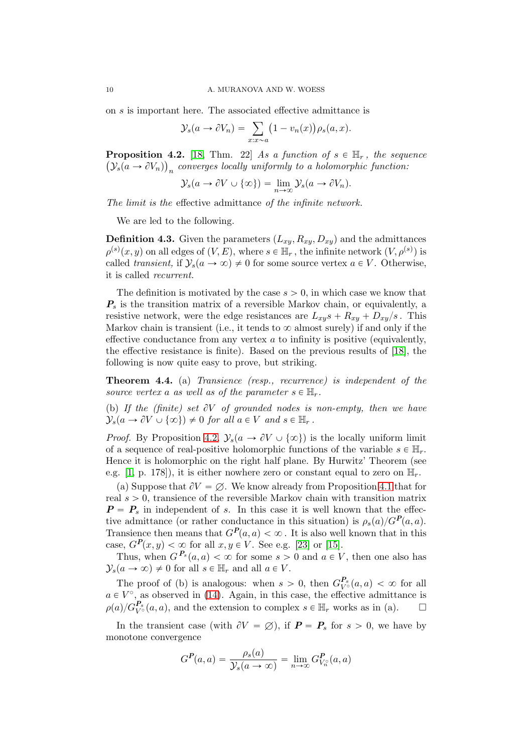on s is important here. The associated effective admittance is

$$
\mathcal{Y}_s(a \to \partial V_n) = \sum_{x:x \sim a} (1 - v_n(x)) \rho_s(a, x).
$$

<span id="page-9-0"></span>**Proposition 4.2.** [\[18,](#page-20-8) Thm. 22] As a function of  $s \in \mathbb{H}_r$ , the sequence  $(\mathcal{Y}_s(a \to \partial V_n))_n$  converges locally uniformly to a holomorphic function:

$$
\mathcal{Y}_s(a \to \partial V \cup \{\infty\}) = \lim_{n \to \infty} \mathcal{Y}_s(a \to \partial V_n).
$$

The limit is the effective admittance of the infinite network.

We are led to the following.

**Definition 4.3.** Given the parameters  $(L_{xy}, R_{xy}, D_{xy})$  and the admittances  $\rho^{(s)}(x, y)$  on all edges of  $(V, E)$ , where  $s \in \mathbb{H}_r$ , the infinite network  $(V, \rho^{(s)})$  is called transient, if  $\mathcal{Y}_s(a \to \infty) \neq 0$  for some source vertex  $a \in V$ . Otherwise, it is called recurrent.

The definition is motivated by the case  $s > 0$ , in which case we know that  $P<sub>s</sub>$  is the transition matrix of a reversible Markov chain, or equivalently, a resistive network, were the edge resistances are  $L_{xy}s + R_{xy} + D_{xy}/s$ . This Markov chain is transient (i.e., it tends to  $\infty$  almost surely) if and only if the effective conductance from any vertex  $a$  to infinity is positive (equivalently, the effective resistance is finite). Based on the previous results of [\[18\]](#page-20-8), the following is now quite easy to prove, but striking.

Theorem 4.4. (a) Transience (resp., recurrence) is independent of the source vertex a as well as of the parameter  $s \in \mathbb{H}_r$ .

(b) If the (finite) set  $\partial V$  of grounded nodes is non-empty, then we have  $\mathcal{Y}_s(a \to \partial V \cup \{\infty\}) \neq 0$  for all  $a \in V$  and  $s \in \mathbb{H}_r$ .

*Proof.* By Proposition [4.2,](#page-9-0)  $\mathcal{Y}_s(a \to \partial V \cup {\infty})$  is the locally uniform limit of a sequence of real-positive holomorphic functions of the variable  $s \in \mathbb{H}_r$ . Hence it is holomorphic on the right half plane. By Hurwitz' Theorem (see e.g. [\[1,](#page-19-2) p. 178]), it is either nowhere zero or constant equal to zero on  $\mathbb{H}_r$ .

(a) Suppose that  $\partial V = \emptyset$ . We know already from Proposition [4.1](#page-8-1) that for real  $s > 0$ , transience of the reversible Markov chain with transition matrix  $P = P<sub>s</sub>$  in independent of s. In this case it is well known that the effective admittance (or rather conductance in this situation) is  $\rho_s(a)/G^P(a, a)$ . Transience then means that  $G^P(a, a) < \infty$ . It is also well known that in this case,  $G^{\textbf{P}}(x, y) < \infty$  for all  $x, y \in V$ . See e.g. [\[23\]](#page-21-1) or [\[15\]](#page-20-2).

Thus, when  $G^{P_s}(a, a) < \infty$  for some  $s > 0$  and  $a \in V$ , then one also has  $\mathcal{Y}_s(a \to \infty) \neq 0$  for all  $s \in \mathbb{H}_r$  and all  $a \in V$ .

The proof of (b) is analogous: when  $s > 0$ , then  $G_{V^{\circ}}^{P_s}(a, a) < \infty$  for all  $a \in V^{\circ}$ , as observed in [\(14\)](#page-7-1). Again, in this case, the effective admittance is  $\rho(a)/G_{V^{\circ}}^{\mathbf{P}_{s}}(a,a)$ , and the extension to complex  $s \in \mathbb{H}_{r}$  works as in (a).  $\Box$ 

In the transient case (with  $\partial V = \emptyset$ ), if  $P = P_s$  for  $s > 0$ , we have by monotone convergence

$$
G^{\textbf{P}}(a,a) = \frac{\rho_s(a)}{\mathcal{Y}_s(a \to \infty)} = \lim_{n \to \infty} G^{\textbf{P}}_{V_n^{\circ}}(a,a)
$$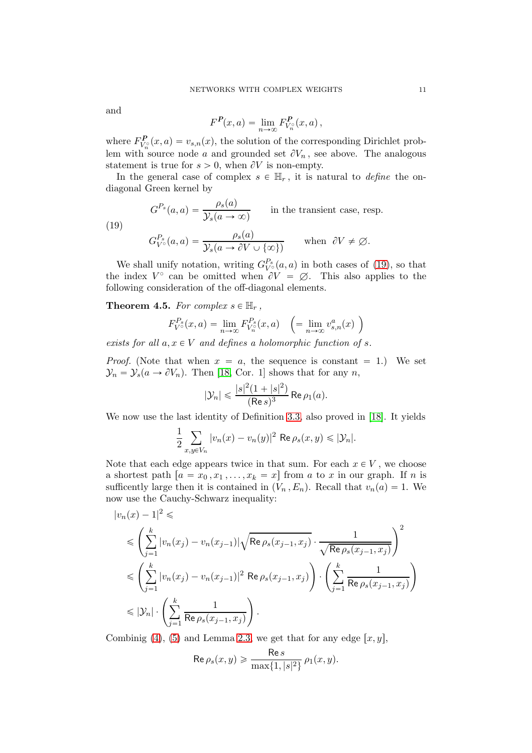and

$$
F^{\textbf{P}}(x,a) = \lim_{n \to \infty} F^{\textbf{P}}_{V_n^{\circ}}(x,a) ,
$$

where  $F_{V_n^{\circ}}^{\mathbf{P}}(x,a) = v_{s,n}(x)$ , the solution of the corresponding Dirichlet problem with source node a and grounded set  $\partial V_n$ , see above. The analogous statement is true for  $s > 0$ , when  $\partial V$  is non-empty.

In the general case of complex  $s \in \mathbb{H}_r$ , it is natural to *define* the ondiagonal Green kernel by

<span id="page-10-0"></span>(19)  
\n
$$
G^{P_s}(a, a) = \frac{\rho_s(a)}{\mathcal{Y}_s(a \to \infty)} \quad \text{in the transient case, resp.}
$$
\n
$$
G^{P_s}_{V^{\circ}}(a, a) = \frac{\rho_s(a)}{\mathcal{Y}_s(a \to \partial V \cup \{\infty\})} \quad \text{when } \partial V \neq \emptyset.
$$

We shall unify notation, writing  $G_{V^{\circ}}^{P_s}(a, a)$  in both cases of [\(19\)](#page-10-0), so that the index  $V^{\circ}$  can be omitted when  $\partial V = \emptyset$ . This also applies to the following consideration of the off-diagonal elements.

<span id="page-10-1"></span>**Theorem 4.5.** For complex  $s \in \mathbb{H}_r$ ,

$$
F_{V^{\circ}}^{P_s}(x, a) = \lim_{n \to \infty} F_{V_n^{\circ}}^{P_s}(x, a) \quad \left( = \lim_{n \to \infty} v_{s,n}^a(x) \right)
$$

exists for all  $a, x \in V$  and defines a holomorphic function of s.

*Proof.* (Note that when  $x = a$ , the sequence is constant  $= 1$ .) We set  $\mathcal{Y}_n = \mathcal{Y}_s(a \to \partial V_n)$ . Then [\[18,](#page-20-8) Cor. 1] shows that for any n,

$$
|\mathcal{Y}_n| \le \frac{|s|^2 (1+|s|^2)}{(\text{Re } s)^3} \text{Re } \rho_1(a).
$$

We now use the last identity of Definition [3.3,](#page-4-4) also proved in [\[18\]](#page-20-8). It yields

$$
\frac{1}{2} \sum_{x,y \in V_n} |v_n(x) - v_n(y)|^2 \operatorname{Re}\rho_s(x,y) \le |\mathcal{Y}_n|.
$$

Note that each edge appears twice in that sum. For each  $x \in V$ , we choose a shortest path  $a = x_0, x_1, \ldots, x_k = x$  from a to x in our graph. If n is sufficently large then it is contained in  $(V_n, E_n)$ . Recall that  $v_n(a) = 1$ . We now use the Cauchy-Schwarz inequality:

$$
|v_n(x) - 1|^2 \le
$$
  
\n
$$
\le \left(\sum_{j=1}^k |v_n(x_j) - v_n(x_{j-1})| \sqrt{\text{Re}\,\rho_s(x_{j-1}, x_j)} \cdot \frac{1}{\sqrt{\text{Re}\,\rho_s(x_{j-1}, x_j)}}\right)^2
$$
  
\n
$$
\le \left(\sum_{j=1}^k |v_n(x_j) - v_n(x_{j-1})|^2 \text{ Re}\,\rho_s(x_{j-1}, x_j)\right) \cdot \left(\sum_{j=1}^k \frac{1}{\text{Re}\,\rho_s(x_{j-1}, x_j)}\right)
$$
  
\n
$$
\le |\mathcal{Y}_n| \cdot \left(\sum_{j=1}^k \frac{1}{\text{Re}\,\rho_s(x_{j-1}, x_j)}\right).
$$

Combinig [\(4\)](#page-2-1), [\(5\)](#page-2-3) and Lemma [2.3,](#page-3-2) we get that for any edge  $[x, y]$ ,

$$
\operatorname{Re}\rho_s(x,y) \ge \frac{\operatorname{Re} s}{\max\{1,|s|^2\}} \rho_1(x,y).
$$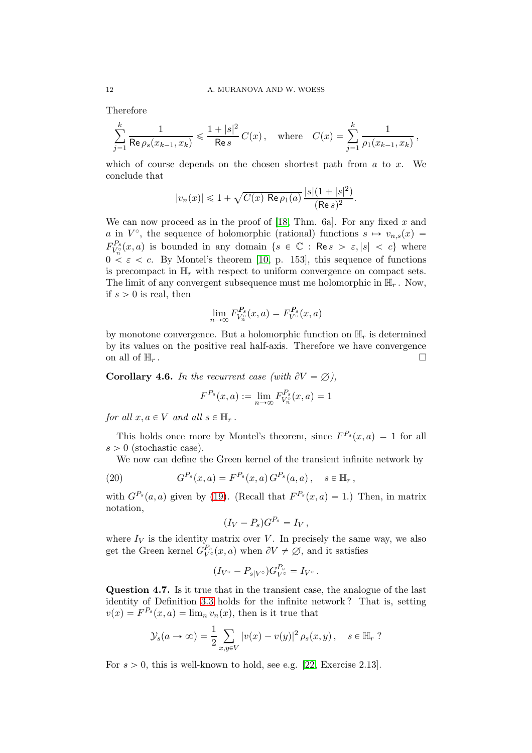Therefore

$$
\sum_{j=1}^k \frac{1}{\text{Re}\,\rho_s(x_{k-1}, x_k)} \leq \frac{1+|s|^2}{\text{Re}\,s} C(x), \quad \text{where} \quad C(x) = \sum_{j=1}^k \frac{1}{\rho_1(x_{k-1}, x_k)},
$$

which of course depends on the chosen shortest path from  $a$  to  $x$ . We conclude that

$$
|v_n(x)| \le 1 + \sqrt{C(x) \text{ Re } \rho_1(a)} \frac{|s|(1+|s|^2)}{(\text{Re } s)^2}.
$$

We can now proceed as in the proof of  $[18, Thm. 6a]$ . For any fixed x and a in  $V^{\circ}$ , the sequence of holomorphic (rational) functions  $s \mapsto v_{n,s}(x) =$  $F_{V_n^{\circ}}^{P_s}(x, a)$  is bounded in any domain  $\{s \in \mathbb{C} : \text{Re } s > \varepsilon, |s| < c\}$  where  $0 < \varepsilon < c$ . By Montel's theorem [\[10,](#page-20-10) p. 153], this sequence of functions is precompact in  $\mathbb{H}_r$  with respect to uniform convergence on compact sets. The limit of any convergent subsequence must me holomorphic in  $\mathbb{H}_r$ . Now, if  $s > 0$  is real, then

$$
\lim_{n \to \infty} F_{V_n^{\circ}}^{\mathbf{P}_s}(x, a) = F_{V^{\circ}}^{\mathbf{P}_s}(x, a)
$$

by monotone convergence. But a holomorphic function on  $\mathbb{H}_r$  is determined by its values on the positive real half-axis. Therefore we have convergence on all of  $\mathbb{H}_r$ .

**Corollary 4.6.** In the recurrent case (with  $\partial V = \emptyset$ ),

$$
F^{P_s}(x, a) := \lim_{n \to \infty} F^{P_s}_{V_n^{\circ}}(x, a) = 1
$$

for all  $x, a \in V$  and all  $s \in \mathbb{H}_r$ .

This holds once more by Montel's theorem, since  $F^{P_s}(x, a) = 1$  for all  $s > 0$  (stochastic case).

We now can define the Green kernel of the transient infinite network by

(20) 
$$
G^{P_s}(x, a) = F^{P_s}(x, a) G^{P_s}(a, a), \quad s \in \mathbb{H}_r,
$$

with  $G^{P_s}(a, a)$  given by [\(19\)](#page-10-0). (Recall that  $F^{P_s}(x, a) = 1$ .) Then, in matrix notation,

$$
(I_V-P_s)G^{P_s}=I_V,
$$

where  $I_V$  is the identity matrix over V. In precisely the same way, we also get the Green kernel  $G_{V^{\circ}}^{P_s}(x, a)$  when  $\partial V \neq \emptyset$ , and it satisfies

$$
(I_{V^{\circ}} - P_{s|V^{\circ}}) G_{V^{\circ}}^{P_s} = I_{V^{\circ}}.
$$

Question 4.7. Is it true that in the transient case, the analogue of the last identity of Definition [3.3](#page-4-4) holds for the infinite network ? That is, setting  $v(x) = F^{P_s}(x, a) = \lim_n v_n(x)$ , then is it true that

$$
\mathcal{Y}_s(a \to \infty) = \frac{1}{2} \sum_{x,y \in V} |v(x) - v(y)|^2 \rho_s(x,y), \quad s \in \mathbb{H}_r
$$
 ?

For  $s > 0$ , this is well-known to hold, see e.g. [\[22,](#page-20-1) Exercise 2.13].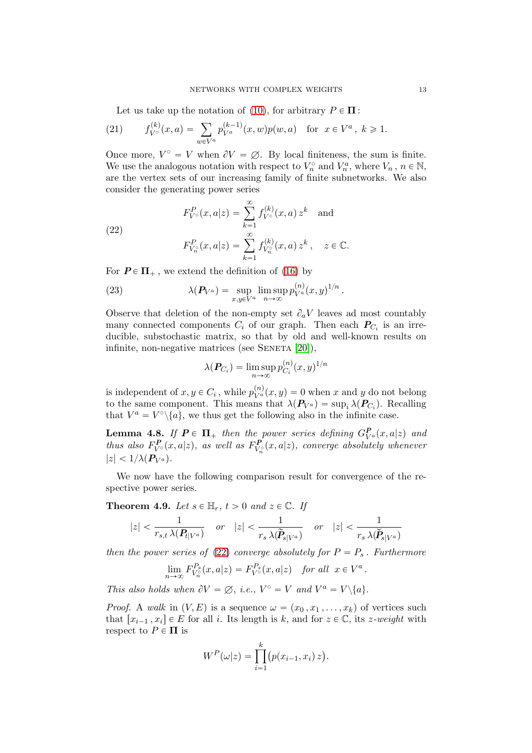<span id="page-12-1"></span>Let us take up the notation of [\(10\)](#page-5-3), for arbitrary  $P \in \Pi$ :

(21) 
$$
f_{V^{\circ}}^{(k)}(x,a) = \sum_{w \in V^a} p_{V^a}^{(k-1)}(x,w)p(w,a) \text{ for } x \in V^a, k \ge 1.
$$

Once more,  $V^{\circ} = V$  when  $\partial V = \emptyset$ . By local finiteness, the sum is finite. We use the analogous notation with respect to  $V_n^{\circ}$  and  $V_n^a$ , where  $V_n$ ,  $n \in \mathbb{N}$ , are the vertex sets of our increasing family of finite subnetworks. We also consider the generating power series

<span id="page-12-0"></span>(22)  
\n
$$
F_{V^{\circ}}^{P}(x, a|z) = \sum_{k=1}^{\infty} f_{V^{\circ}}^{(k)}(x, a) z^{k} \text{ and}
$$
\n
$$
F_{V_{n}^{\circ}}^{P}(x, a|z) = \sum_{k=1}^{\infty} f_{V_{n}^{\circ}}^{(k)}(x, a) z^{k}, \quad z \in \mathbb{C}.
$$

For  $P \in \Pi_+$ , we extend the definition of [\(16\)](#page-7-2) by

(23) 
$$
\lambda(\boldsymbol{P}_{V^a}) = \sup_{x,y \in V^a} \limsup_{n \to \infty} p_{V^a}^{(n)}(x,y)^{1/n}.
$$

Observe that deletion of the non-empty set  $\partial_a V$  leaves ad most countably many connected components  $C_i$  of our graph. Then each  $P_{C_i}$  is an irreducible, substochastic matrix, so that by old and well-known results on infinite, non-negative matrices (see SENETA  $[20]$ ).

$$
\lambda(\boldsymbol{P}_{C_i}) = \limsup_{n \to \infty} p_{C_i}^{(n)}(x, y)^{1/n}
$$

is independent of  $x, y \in C_i$ , while  $p_{V^a}^{(n)}(x, y) = 0$  when x and y do not belong to the same component. This means that  $\lambda(P_{V^a}) = \sup_i \lambda(P_{C_i})$ . Recalling that  $V^a = V^{\circ} \setminus \{a\}$ , we thus get the following also in the infinite case.

**Lemma 4.8.** If  $P \in \Pi_+$  then the power series defining  $G_{V^a}^P(x, a|z)$  and thus also  $F_{V^{\circ}}^{\textbf{P}}(x,a|z)$ , as well as  $F_{V_{n}}^{\textbf{P}}(x,a|z)$ , converge absolutely whenever  $|z| < 1/\lambda(P_{V^a}).$ 

We now have the following comparison result for convergence of the respective power series.

<span id="page-12-2"></span>**Theorem 4.9.** Let  $s \in \mathbb{H}_r$ ,  $t > 0$  and  $z \in \mathbb{C}$ . If

$$
|z| < \frac{1}{r_{s,t}\,\lambda(P_{t|V^a})} \quad \text{or} \quad |z| < \frac{1}{r_s\,\lambda(\widetilde{P}_{s|V^a})} \quad \text{or} \quad |z| < \frac{1}{r_s\,\lambda(\widetilde{P}_{s|V^a})}
$$

then the power series of [\(22\)](#page-12-0) converge absolutely for  $P = P_s$ . Furthermore

$$
\lim_{n \to \infty} F_{V_n^{\circ}}^{P_s}(x, a|z) = F_{V^{\circ}}^{P_s}(x, a|z) \quad \text{for all } x \in V^a.
$$

This also holds when  $\partial V = \emptyset$ , i.e.,  $V^{\circ} = V$  and  $V^a = V \setminus \{a\}.$ 

*Proof.* A walk in  $(V, E)$  is a sequence  $\omega = (x_0 , x_1 , \ldots , x_k)$  of vertices such that  $[x_{i-1}, x_i] \in E$  for all i. Its length is k, and for  $z \in \mathbb{C}$ , its z-weight with respect to  $P \in \Pi$  is

$$
WP(\omega|z) = \prod_{i=1}^{k} (p(x_{i-1}, x_i) z).
$$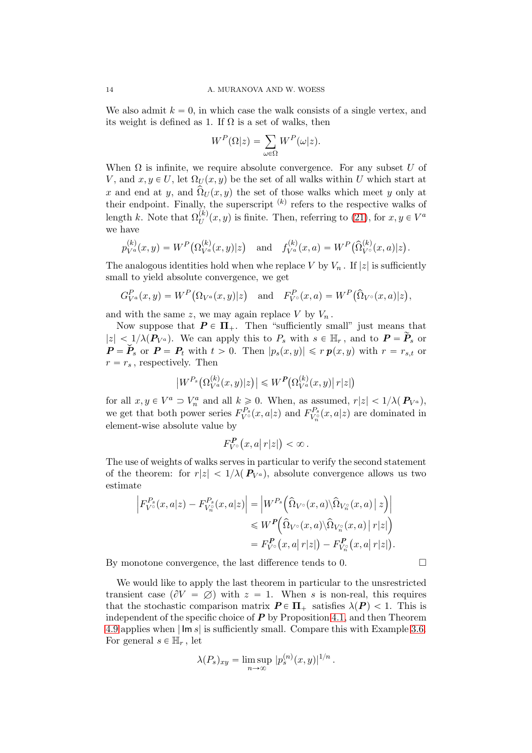We also admit  $k = 0$ , in which case the walk consists of a single vertex, and its weight is defined as 1. If  $\Omega$  is a set of walks, then

$$
W^{P}(\Omega|z) = \sum_{\omega \in \Omega} W^{P}(\omega|z).
$$

When  $\Omega$  is infinite, we require absolute convergence. For any subset U of V, and  $x, y \in U$ , let  $\Omega_U(x, y)$  be the set of all walks within U which start at x and end at y, and  $\hat{\Omega}_{U}(x, y)$  the set of those walks which meet y only at their endpoint. Finally, the superscript  $(k)$  refers to the respective walks of length k. Note that  $\Omega_U^{(k)}(x, y)$  is finite. Then, referring to [\(21\)](#page-12-1), for  $x, y \in V^a$ we have

$$
p_{V^a}^{(k)}(x, y) = W^P(\Omega_{V^a}^{(k)}(x, y)|z)
$$
 and  $f_{V^a}^{(k)}(x, a) = W^P(\widehat{\Omega}_{V^{\circ}}^{(k)}(x, a)|z)$ .

The analogous identities hold when whe replace V by  $V_n$ . If |z| is sufficiently small to yield absolute convergence, we get

$$
G_{V^a}^P(x,y) = W^P(\Omega_{V^a}(x,y)|z) \text{ and } F_{V^{\circ}}^P(x,a) = W^P(\hat{\Omega}_{V^{\circ}}(x,a)|z),
$$

and with the same z, we may again replace  $V$  by  $V_n$ .

Now suppose that  $P \in \Pi_+$ . Then "sufficiently small" just means that  $|z| < 1/\lambda(P_{V_a})$ . We can apply this to  $P_s$  with  $s \in \mathbb{H}_r$ , and to  $P = \tilde{P}_s$  or  $P = \check{P}_s$  or  $P = P_t$  with  $t > 0$ . Then  $|p_s(x, y)| \leq r p(x, y)$  with  $r = r_{s,t}$  or  $r = r_s$ , respectively. Then

$$
\left|W^{P_s}\big(\Omega_{V^a}^{(k)}(x,y)|z\big)\right| \leqslant W^P\big(\Omega_{V^a}^{(k)}(x,y)\big|\,r|z|\big)
$$

for all  $x, y \in V^a \supset V_n^a$  and all  $k \geqslant 0$ . When, as assumed,  $r|z| < 1/\lambda(P_{V^a})$ , we get that both power series  $F_{V_0}^{P_s}(x, a|z)$  and  $F_{V_0}^{P_s}(x, a|z)$  are dominated in element-wise absolute value by

$$
F_{V^{\circ}}^{\textbf{\textit{P}}\!}\big(x,a\big|\,r|z|\big)<\infty\,.
$$

The use of weights of walks serves in particular to verify the second statement of the theorem: for  $r|z| < 1/\lambda(P_{V^a})$ , absolute convergence allows us two estimate

$$
\left| F_{V^{\circ}}^{P_s}(x,a|z) - F_{V_n^{\circ}}^{P_s}(x,a|z) \right| = \left| W^{P_s}\left( \hat{\Omega}_{V^{\circ}}(x,a) \backslash \hat{\Omega}_{V_n^{\circ}}(x,a) \mid z \right) \right|
$$
  

$$
\leq W^P\left( \hat{\Omega}_{V^{\circ}}(x,a) \backslash \hat{\Omega}_{V_n^{\circ}}(x,a) \mid r|z| \right)
$$
  

$$
= F_{V^{\circ}}^P(x,a|r|z|) - F_{V_n^{\circ}}^P(x,a|r|z|).
$$

By monotone convergence, the last difference tends to 0.  $\Box$ 

We would like to apply the last theorem in particular to the unsrestricted transient case  $(\partial V = \emptyset)$  with  $z = 1$ . When s is non-real, this requires that the stochastic comparison matrix  $P \in \Pi_+$  satisfies  $\lambda(P) < 1$ . This is independent of the specific choice of  $P$  by Proposition [4.1,](#page-8-1) and then Theorem [4.9](#page-12-2) applies when | Im s| is sufficiently small. Compare this with Example [3.6.](#page-6-1) For general  $s \in \mathbb{H}_r$ , let

$$
\lambda(P_s)_{xy} = \limsup_{n \to \infty} |p_s^{(n)}(x, y)|^{1/n}.
$$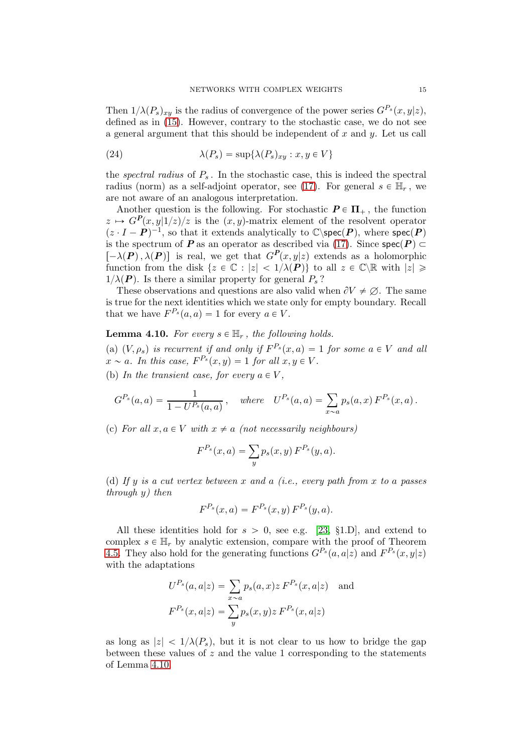Then  $1/\lambda(P_s)_{xy}$  is the radius of convergence of the power series  $G^{P_s}(x, y|z)$ , defined as in [\(15\)](#page-7-3). However, contrary to the stochastic case, we do not see a general argument that this should be independent of  $x$  and  $y$ . Let us call

<span id="page-14-1"></span>(24) 
$$
\lambda(P_s) = \sup \{ \lambda(P_s)_{xy} : x, y \in V \}
$$

the spectral radius of  $P_s$ . In the stochastic case, this is indeed the spectral radius (norm) as a self-adjoint operator, see [\(17\)](#page-8-0). For general  $s \in \mathbb{H}_r$ , we are not aware of an analogous interpretation.

Another question is the following. For stochastic  $P \in \Pi_+$ , the function  $z \mapsto G^{\textbf{P}}(x, y|1/z)/z$  is the  $(x, y)$ -matrix element of the resolvent operator  $(z \cdot I - P)^{-1}$ , so that it extends analytically to  $\mathbb{C}\setminus \text{spec}(P)$ , where  $\text{spec}(P)$ is the spectrum of P as an operator as described via [\(17\)](#page-8-0). Since  $spec(P) \subset$  $[-\lambda(P), \lambda(P)]$  is real, we get that  $G^P(x, y|z)$  extends as a holomorphic function from the disk  $\{z \in \mathbb{C} : |z| < 1/\lambda(P)\}$  to all  $z \in \mathbb{C} \setminus \mathbb{R}$  with  $|z| \geq$  $1/\lambda(P)$ . Is there a similar property for general  $P_s$ ?

These observations and questions are also valid when  $\partial V \neq \emptyset$ . The same is true for the next identities which we state only for empty boundary. Recall that we have  $F^{P_s}(a, a) = 1$  for every  $a \in V$ .

<span id="page-14-0"></span>**Lemma 4.10.** For every  $s \in \mathbb{H}_r$ , the following holds. (a)  $(V, \rho_s)$  is recurrent if and only if  $F^{P_s}(x, a) = 1$  for some  $a \in V$  and all  $x \sim a$ . In this case,  $F^{P_s}(x, y) = 1$  for all  $x, y \in V$ .

(b) In the transient case, for every  $a \in V$ ,

$$
G^{P_s}(a, a) = \frac{1}{1 - U^{P_s}(a, a)}, \quad \text{where} \quad U^{P_s}(a, a) = \sum_{x \sim a} p_s(a, x) F^{P_s}(x, a).
$$

(c) For all  $x, a \in V$  with  $x \neq a$  (not necessarily neighbours)

$$
F^{P_s}(x, a) = \sum_{y} p_s(x, y) F^{P_s}(y, a).
$$

(d) If y is a cut vertex between x and a (i.e., every path from x to a passes through y) then

$$
F^{P_s}(x, a) = F^{P_s}(x, y) F^{P_s}(y, a).
$$

All these identities hold for  $s > 0$ , see e.g. [\[23,](#page-21-1) §1.D], and extend to complex  $s \in \mathbb{H}_r$  by analytic extension, compare with the proof of Theorem [4.5.](#page-10-1) They also hold for the generating functions  $G^{P_s}(a, a|z)$  and  $F^{P_s}(x, y|z)$ with the adaptations

$$
U^{P_s}(a, a|z) = \sum_{x \sim a} p_s(a, x) z F^{P_s}(x, a|z)
$$
 and  

$$
F^{P_s}(x, a|z) = \sum_{y} p_s(x, y) z F^{P_s}(x, a|z)
$$

as long as  $|z| < 1/\lambda(P_s)$ , but it is not clear to us how to bridge the gap between these values of  $z$  and the value 1 corresponding to the statements of Lemma [4.10.](#page-14-0)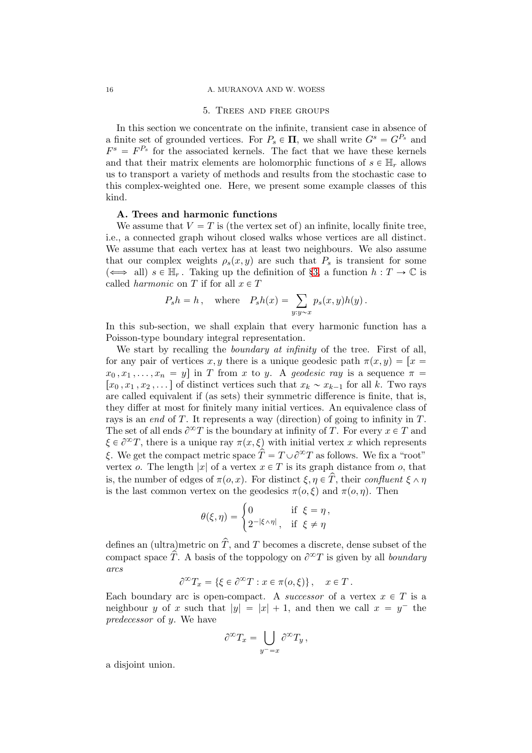#### <span id="page-15-0"></span>16 A. MURANOVA AND W. WOESS

#### 5. Trees and free groups

In this section we concentrate on the infinite, transient case in absence of a finite set of grounded vertices. For  $P_s \in \Pi$ , we shall write  $G^s = G^{P_s}$  and  $F^s = F^{P_s}$  for the associated kernels. The fact that we have these kernels and that their matrix elements are holomorphic functions of  $s \in \mathbb{H}_r$  allows us to transport a variety of methods and results from the stochastic case to this complex-weighted one. Here, we present some example classes of this kind.

# A. Trees and harmonic functions

We assume that  $V = T$  is (the vertex set of) an infinite, locally finite tree, i.e., a connected graph wihout closed walks whose vertices are all distinct. We assume that each vertex has at least two neighbours. We also assume that our complex weights  $\rho_s(x, y)$  are such that  $P_s$  is transient for some  $(\iff \text{all}) \ s \in \mathbb{H}_r$ . Taking up the definition of §[3,](#page-3-0) a function  $h : T \to \mathbb{C}$  is called *harmonic* on T if for all  $x \in T$ 

$$
P_s h = h
$$
, where  $P_s h(x) = \sum_{y:y \sim x} p_s(x, y)h(y)$ .

In this sub-section, we shall explain that every harmonic function has a Poisson-type boundary integral representation.

We start by recalling the *boundary at infinity* of the tree. First of all, for any pair of vertices x, y there is a unique geodesic path  $\pi(x, y) = [x =$  $x_0, x_1, \ldots, x_n = y$  in T from x to y. A geodesic ray is a sequence  $\pi =$  $[x_0, x_1, x_2, \ldots]$  of distinct vertices such that  $x_k \sim x_{k-1}$  for all k. Two rays are called equivalent if (as sets) their symmetric difference is finite, that is, they differ at most for finitely many initial vertices. An equivalence class of rays is an end of T. It represents a way (direction) of going to infinity in T. The set of all ends  $\partial^{\infty}T$  is the boundary at infinity of T. For every  $x \in T$  and  $\xi \in \partial^{\infty}T$ , there is a unique ray  $\pi(x, \xi)$  with initial vertex x which represents ξ. We get the compact metric space  $\hat{T} = T \cup \partial^{\infty} T$  as follows. We fix a "root" vertex o. The length |x| of a vertex  $x \in T$  is its graph distance from o, that is, the number of edges of  $\pi(o, x)$ . For distinct  $\xi, \eta \in \hat{T}$ , their confluent  $\xi \wedge \eta$ is the last common vertex on the geodesics  $\pi(o, \xi)$  and  $\pi(o, \eta)$ . Then

$$
\theta(\xi,\eta) = \begin{cases} 0 & \text{if } \xi = \eta, \\ 2^{-|\xi \wedge \eta|}, & \text{if } \xi \neq \eta \end{cases}
$$

defines an (ultra)metric on  $\hat{T}$ , and T becomes a discrete, dense subset of the compact space  $\hat{T}$ . A basis of the toppology on  $\partial^{\infty}T$  is given by all *boundary* arcs

$$
\partial^{\infty} T_x = \{ \xi \in \partial^{\infty} T : x \in \pi(o, \xi) \}, \quad x \in T.
$$

Each boundary arc is open-compact. A *successor* of a vertex  $x \in T$  is a neighbour y of x such that  $|y| = |x| + 1$ , and then we call  $x = y^-$  the predecessor of y. We have

$$
\partial^{\infty} T_x = \bigcup_{y^- = x} \partial^{\infty} T_y,
$$

a disjoint union.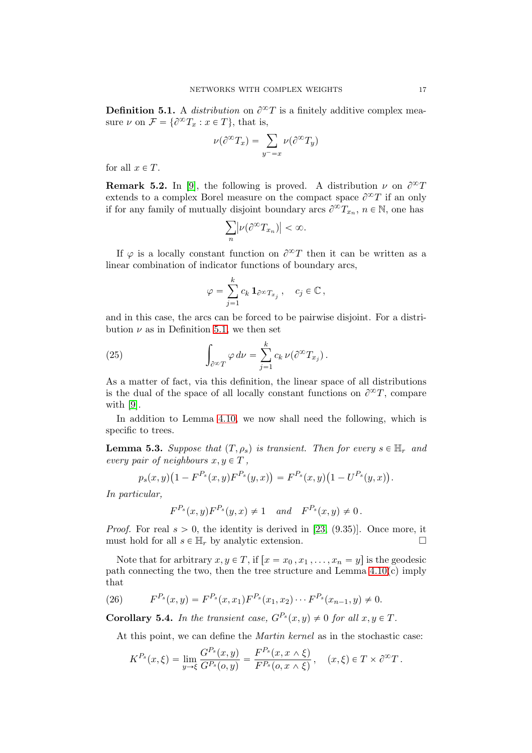<span id="page-16-0"></span>**Definition 5.1.** A distribution on  $\partial^{\infty}T$  is a finitely additive complex measure  $\nu$  on  $\mathcal{F} = {\partial^{\infty}T_x : x \in T}$ , that is,

$$
\nu(\partial^{\infty}T_x) = \sum_{y^-=x} \nu(\partial^{\infty}T_y)
$$

for all  $x \in T$ .

**Remark 5.2.** In [\[9\]](#page-20-12), the following is proved. A distribution  $\nu$  on  $\partial^{\infty}T$ extends to a complex Borel measure on the compact space  $\partial^{\infty}T$  if an only if for any family of mutually disjoint boundary arcs  $\partial^{\infty} T_{x_n}$ ,  $n \in \mathbb{N}$ , one has

$$
\sum_{n} \left| \nu(\partial^{\infty} T_{x_n}) \right| < \infty.
$$

If  $\varphi$  is a locally constant function on  $\partial^{\infty}T$  then it can be written as a linear combination of indicator functions of boundary arcs,

$$
\varphi = \sum_{j=1}^k c_k \mathbf{1}_{\partial^\infty T_{x_j}}, \quad c_j \in \mathbb{C},
$$

and in this case, the arcs can be forced to be pairwise disjoint. For a distribution  $\nu$  as in Definition [5.1,](#page-16-0) we then set

(25) 
$$
\int_{\partial^{\infty} T} \varphi \, d\nu = \sum_{j=1}^{k} c_k \, \nu(\partial^{\infty} T_{x_j}).
$$

As a matter of fact, via this definition, the linear space of all distributions is the dual of the space of all locally constant functions on  $\partial^{\infty}T$ , compare with [\[9\]](#page-20-12).

In addition to Lemma [4.10,](#page-14-0) we now shall need the following, which is specific to trees.

<span id="page-16-2"></span>**Lemma 5.3.** Suppose that  $(T, \rho_s)$  is transient. Then for every  $s \in \mathbb{H}_r$  and every pair of neighbours  $x, y \in T$ ,

$$
p_s(x,y)(1 - F^{P_s}(x,y)F^{P_s}(y,x)) = F^{P_s}(x,y)(1 - U^{P_s}(y,x)).
$$

In particular,

$$
F^{P_s}(x,y)F^{P_s}(y,x) \neq 1 \quad and \quad F^{P_s}(x,y) \neq 0.
$$

*Proof.* For real  $s > 0$ , the identity is derived in [\[23,](#page-21-1) (9.35)]. Once more, it must hold for all  $s \in \mathbb{H}_r$  by analytic extension. must hold for all  $s \in \mathbb{H}_r$  by analytic extension.

Note that for arbitrary  $x, y \in T$ , if  $[x = x_0, x_1, \ldots, x_n = y]$  is the geodesic path connecting the two, then the tree structure and Lemma  $4.10(c)$  imply that

<span id="page-16-1"></span>(26) 
$$
F^{P_s}(x,y) = F^{P_s}(x,x_1)F^{P_s}(x_1,x_2)\cdots F^{P_s}(x_{n-1},y) \neq 0.
$$

**Corollary 5.4.** In the transient case,  $G^{P_s}(x, y) \neq 0$  for all  $x, y \in T$ .

At this point, we can define the Martin kernel as in the stochastic case:

$$
K^{P_s}(x,\xi) = \lim_{y \to \xi} \frac{G^{P_s}(x,y)}{G^{P_s}(o,y)} = \frac{F^{P_s}(x,x \wedge \xi)}{F^{P_s}(o,x \wedge \xi)}, \quad (x,\xi) \in T \times \partial^{\infty} T.
$$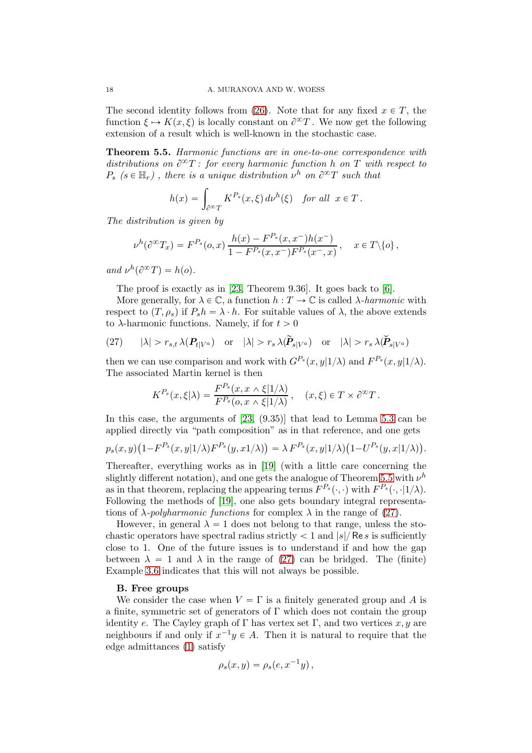The second identity follows from [\(26\)](#page-16-1). Note that for any fixed  $x \in T$ , the function  $\xi \mapsto K(x,\xi)$  is locally constant on  $\partial^{\infty}T$ . We now get the following extension of a result which is well-known in the stochastic case.

<span id="page-17-0"></span>Theorem 5.5. Harmonic functions are in one-to-one correspondence with distributions on  $\partial^{\infty}T$ : for every harmonic function h on T with respect to  $P_s$  ( $s \in \mathbb{H}_r$ ), there is a unique distribution  $\nu^h$  on  $\partial^{\infty}T$  such that

$$
h(x) = \int_{\partial^{\infty} T} K^{P_s}(x,\xi) d\nu^h(\xi) \quad \text{for all} \ \ x \in T.
$$

The distribution is given by

$$
\nu^{h}(\partial^{\infty}T_{x}) = F^{P_{s}}(o, x) \frac{h(x) - F^{P_{s}}(x, x^{-})h(x^{-})}{1 - F^{P_{s}}(x, x^{-})F^{P_{s}}(x^{-}, x)}, \quad x \in T \setminus \{o\},
$$

and  $\nu^h(\partial^{\infty}T) = h(o)$ .

The proof is exactly as in [\[23,](#page-21-1) Theorem 9.36]. It goes back to [\[6\]](#page-20-13).

More generally, for  $\lambda \in \mathbb{C}$ , a function  $h : T \to \mathbb{C}$  is called  $\lambda$ -harmonic with respect to  $(T, \rho_s)$  if  $P_s h = \lambda \cdot h$ . For suitable values of  $\lambda$ , the above extends to  $\lambda$ -harmonic functions. Namely, if for  $t > 0$ 

<span id="page-17-1"></span>(27) 
$$
|\lambda| > r_{s,t} \lambda(P_{t|V^a})
$$
 or  $|\lambda| > r_s \lambda(\tilde{P}_{s|V^a})$  or  $|\lambda| > r_s \lambda(\tilde{P}_{s|V^a})$ 

then we can use comparison and work with  $G^{P_s}(x, y|1/\lambda)$  and  $F^{P_s}(x, y|1/\lambda)$ . The associated Martin kernel is then

$$
K^{P_s}(x,\xi|\lambda) = \frac{F^{P_s}(x,x \wedge \xi|1/\lambda)}{F^{P_s}(o,x \wedge \xi|1/\lambda)}, \quad (x,\xi) \in T \times \partial^{\infty} T.
$$

In this case, the arguments of [\[23,](#page-21-1) (9.35)] that lead to Lemma [5.3](#page-16-2) can be applied directly via "path composition" as in that reference, and one gets

$$
p_s(x,y)\big(1-F^{P_s}(x,y|1/\lambda)F^{P_s}(y,x1/\lambda)\big)=\lambda F^{P_s}(x,y|1/\lambda)\big(1-U^{P_s}(y,x|1/\lambda)\big).
$$

Thereafter, everything works as in [\[19\]](#page-20-14) (with a little care concerning the slightly different notation), and one gets the analogue of Theorem [5.5](#page-17-0) with  $\nu^h$ as in that theorem, replacing the appearing terms  $F^{P_s}(\cdot, \cdot)$  with  $F^{P_s}(\cdot, \cdot|1/\lambda)$ . Following the methods of [\[19\]](#page-20-14), one also gets boundary integral representations of  $\lambda$ -polyharmonic functions for complex  $\lambda$  in the range of [\(27\)](#page-17-1).

However, in general  $\lambda = 1$  does not belong to that range, unless the stochastic operators have spectral radius strictly  $\langle 1 \text{ and } |s|/$  Re s is sufficiently close to 1. One of the future issues is to understand if and how the gap between  $\lambda = 1$  and  $\lambda$  in the range of [\(27\)](#page-17-1) can be bridged. The (finite) Example [3.6](#page-6-1) indicates that this will not always be possible.

## B. Free groups

We consider the case when  $V = \Gamma$  is a finitely generated group and A is a finite, symmetric set of generators of  $\Gamma$  which does not contain the group identity e. The Cayley graph of  $\Gamma$  has vertex set  $\Gamma$ , and two vertices x, y are neighbours if and only if  $x^{-1}y \in A$ . Then it is natural to require that the edge admittances [\(1\)](#page-0-0) satisfy

$$
\rho_s(x,y) = \rho_s(e, x^{-1}y),
$$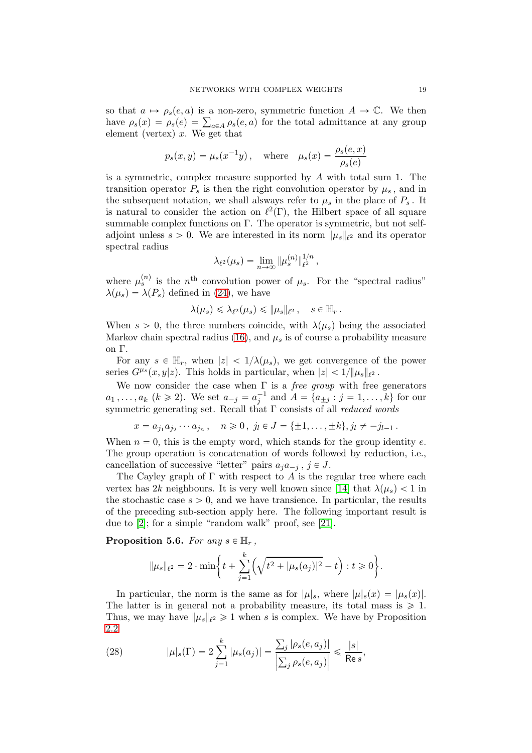so that  $a \mapsto \rho_s(e, a)$  is a non-zero, symmetric function  $A \to \mathbb{C}$ . We then have  $\rho_s(x) = \rho_s(e) = \sum_{a \in A} \rho_s(e, a)$  for the total admittance at any group element (vertex)  $x$ . We get that

$$
p_s(x, y) = \mu_s(x^{-1}y)
$$
, where  $\mu_s(x) = \frac{\rho_s(e, x)}{\rho_s(e)}$ 

is a symmetric, complex measure supported by  $A$  with total sum 1. The transition operator  $P_s$  is then the right convolution operator by  $\mu_s$ , and in the subsequent notation, we shall alsways refer to  $\mu_s$  in the place of  $P_s$ . It is natural to consider the action on  $\ell^2(\Gamma)$ , the Hilbert space of all square summable complex functions on Γ. The operator is symmetric, but not selfadjoint unless  $s > 0$ . We are interested in its norm  $\|\mu_s\|_{\ell^2}$  and its operator spectral radius

$$
\lambda_{\ell^2}(\mu_s) = \lim_{n \to \infty} \|\mu_s^{(n)}\|_{\ell^2}^{1/n},
$$

where  $\mu_s^{(n)}$  is the n<sup>th</sup> convolution power of  $\mu_s$ . For the "spectral radius"  $\lambda(\mu_s) = \lambda(P_s)$  defined in [\(24\)](#page-14-1), we have

$$
\lambda(\mu_s) \leqslant \lambda_{\ell^2}(\mu_s) \leqslant \|\mu_s\|_{\ell^2}, \quad s \in \mathbb{H}_r \,.
$$

When  $s > 0$ , the three numbers coincide, with  $\lambda(\mu_s)$  being the associated Markov chain spectral radius [\(16\)](#page-7-2), and  $\mu_s$  is of course a probability measure on Γ.

For any  $s \in \mathbb{H}_r$ , when  $|z| < 1/\lambda(\mu_s)$ , we get convergence of the power series  $G^{\mu_s}(x, y|z)$ . This holds in particular, when  $|z| < 1/\|\mu_s\|_{\ell^2}$ .

We now consider the case when  $\Gamma$  is a *free group* with free generators  $a_1, \ldots, a_k \ (k \geq 2)$ . We set  $a_{-j} = a_j^{-1}$  and  $A = \{a_{\pm j} : j = 1, \ldots, k\}$  for our symmetric generating set. Recall that  $\Gamma$  consists of all *reduced words* 

$$
x = a_{j_1}a_{j_2}\cdots a_{j_n}, \quad n \ge 0, \ j_l \in J = \{\pm 1,\ldots,\pm k\}, j_l \ne -j_{l-1}.
$$

When  $n = 0$ , this is the empty word, which stands for the group identity e. The group operation is concatenation of words followed by reduction, i.e., cancellation of successive "letter" pairs  $a_j a_{-j}$ ,  $j \in J$ .

The Cayley graph of  $\Gamma$  with respect to A is the regular tree where each vertex has 2k neighbours. It is very well known since [\[14\]](#page-20-15) that  $\lambda(\mu_s) < 1$  in the stochastic case  $s > 0$ , and we have transience. In particular, the results of the preceding sub-section apply here. The following important result is due to [\[2\]](#page-19-3); for a simple "random walk" proof, see [\[21\]](#page-20-16).

**Proposition 5.6.** For any  $s \in \mathbb{H}_r$ ,

$$
\|\mu_s\|_{\ell^2} = 2 \cdot \min \left\{ t + \sum_{j=1}^k \left( \sqrt{t^2 + |\mu_s(a_j)|^2} - t \right) : t \ge 0 \right\}.
$$

In particular, the norm is the same as for  $|\mu|_s$ , where  $|\mu|_s(x) = |\mu_s(x)|$ . The latter is in general not a probability measure, its total mass is  $\geq 1$ . Thus, we may have  $\|\mu_s\|_{\ell^2} \geq 1$  when s is complex. We have by Proposition [2.2](#page-2-4)

<span id="page-18-0"></span>(28) 
$$
|\mu|_s(\Gamma) = 2 \sum_{j=1}^k |\mu_s(a_j)| = \frac{\sum_j |\rho_s(e, a_j)|}{\left|\sum_j \rho_s(e, a_j)\right|} \leq \frac{|s|}{\text{Re } s},
$$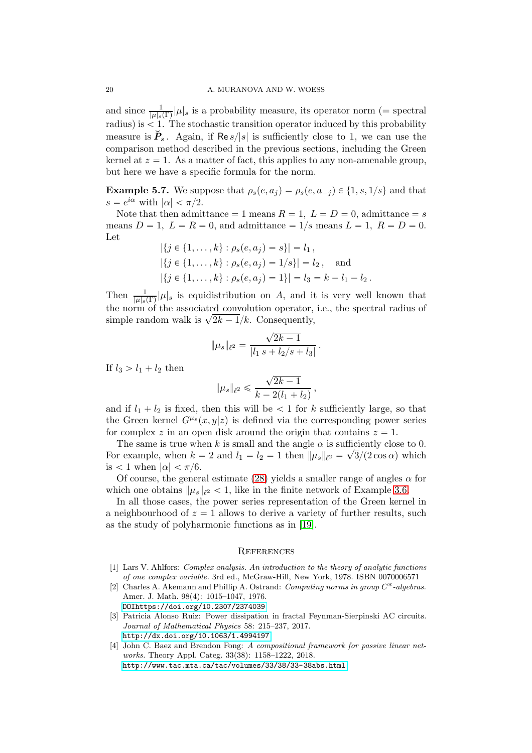and since  $\frac{1}{|\mu|s(\Gamma)}|\mu|_s$  is a probability measure, its operator norm (= spectral radius) is  $\leq 1$ . The stochastic transition operator induced by this probability measure is  $\dot{P}_s$ . Again, if Re  $s/|s|$  is sufficiently close to 1, we can use the comparison method described in the previous sections, including the Green kernel at  $z = 1$ . As a matter of fact, this applies to any non-amenable group. but here we have a specific formula for the norm.

**Example 5.7.** We suppose that  $\rho_s(e, a_j) = \rho_s(e, a_{-j}) \in \{1, s, 1/s\}$  and that  $s = e^{i\alpha}$  with  $|\alpha| < \pi/2$ .

Note that then admittance  $= 1$  means  $R = 1$ ,  $L = D = 0$ , admittance  $= s$ means  $D = 1$ ,  $L = R = 0$ , and admittance  $= 1/s$  means  $L = 1$ ,  $R = D = 0$ . Let

$$
|\{j \in \{1, ..., k\} : \rho_s(e, a_j) = s\}| = l_1,
$$
  
 
$$
|\{j \in \{1, ..., k\} : \rho_s(e, a_j) = 1/s\}| = l_2, \text{ and}
$$
  
 
$$
|\{j \in \{1, ..., k\} : \rho_s(e, a_j) = 1\}| = l_3 = k - l_1 - l_2.
$$

Then  $\frac{1}{|\mu|s(\Gamma)}|\mu|_s$  is equidistribution on A, and it is very well known that the norm of the associated convolution operator, i.e., the spectral radius of simple random walk is  $\sqrt{2k-1}/k$ . Consequently,

$$
\|\mu_s\|_{\ell^2} = \frac{\sqrt{2k-1}}{|l_1 s + l_2/s + l_3|}.
$$

If  $l_3 > l_1 + l_2$  then

$$
\|\mu_s\|_{\ell^2} \leqslant \frac{\sqrt{2k-1}}{k-2(l_1+l_2)},
$$

and if  $l_1 + l_2$  is fixed, then this will be  $\lt 1$  for k sufficiently large, so that the Green kernel  $G^{\mu_s}(x, y|z)$  is defined via the corresponding power series for complex z in an open disk around the origin that contains  $z = 1$ .

The same is true when k is small and the angle  $\alpha$  is sufficiently close to 0. For example, when  $k = 2$  and  $l_1 = l_2 = 1$  then  $\|\mu_s\|_{\ell^2} =$  $\sqrt{3}/(2 \cos \alpha)$  which is  $< 1$  when  $|\alpha| < \pi/6$ .

Of course, the general estimate [\(28\)](#page-18-0) yields a smaller range of angles  $\alpha$  for which one obtains  $\|\mu_s\|_{\ell^2} < 1$ , like in the finite network of Example [3.6.](#page-6-1)

In all those cases, the power series representation of the Green kernel in a neighbourhood of  $z = 1$  allows to derive a variety of further results, such as the study of polyharmonic functions as in [\[19\]](#page-20-14).

## **REFERENCES**

- <span id="page-19-2"></span>[1] Lars V. Ahlfors: Complex analysis. An introduction to the theory of analytic functions of one complex variable. 3rd ed., McGraw-Hill, New York, 1978. ISBN 0070006571
- <span id="page-19-3"></span>[2] Charles A. Akemann and Phillip A. Ostrand: Computing norms in group  $C^*$ -algebras. Amer. J. Math. 98(4): 1015–1047, 1976. [DOIhttps://doi.org/10.2307/2374039](DOI https://doi.org/10.2307/2374039)
- <span id="page-19-0"></span>[3] Patricia Alonso Ruiz: Power dissipation in fractal Feynman-Sierpinski AC circuits. Journal of Mathematical Physics 58: 215–237, 2017. <http://dx.doi.org/10.1063/1.4994197>
- <span id="page-19-1"></span>[4] John C. Baez and Brendon Fong: A compositional framework for passive linear networks. Theory Appl. Categ. 33(38): 1158–1222, 2018. <http://www.tac.mta.ca/tac/volumes/33/38/33-38abs.html>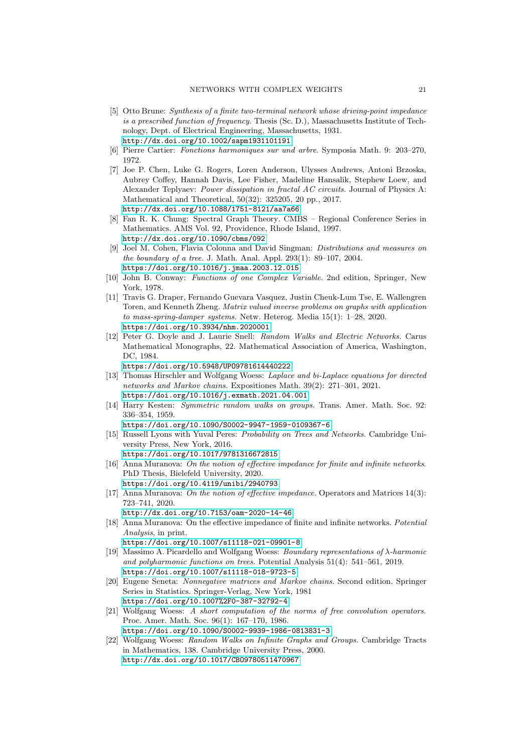- <span id="page-20-6"></span>[5] Otto Brune: Synthesis of a finite two-terminal network whose driving-point impedance is a prescribed function of frequency. Thesis (Sc. D.), Massachusetts Institute of Technology, Dept. of Electrical Engineering, Massachusetts, 1931. <http://dx.doi.org/10.1002/sapm1931101191>
- <span id="page-20-13"></span><span id="page-20-3"></span>[6] Pierre Cartier: Fonctions harmoniques sur und arbre. Symposia Math. 9: 203–270, 1972.
- [7] Joe P. Chen, Luke G. Rogers, Loren Anderson, Ulysses Andrews, Antoni Brzoska, Aubrey Coffey, Hannah Davis, Lee Fisher, Madeline Hansalik, Stephew Loew, and Alexander Teplyaev: Power dissipation in fractal AC circuits. Journal of Physics A: Mathematical and Theoretical, 50(32): 325205, 20 pp., 2017. <http://dx.doi.org/10.1088/1751-8121/aa7a66>
- [8] Fan R. K. Chung: Spectral Graph Theory. CMBS Regional Conference Series in Mathematics. AMS Vol. 92, Providence, Rhode Island, 1997. <http://dx.doi.org/10.1090/cbms/092>
- <span id="page-20-12"></span>[9] Joel M. Cohen, Flavia Colonna and David Singman: Distributions and measures on the boundary of a tree. J. Math. Anal. Appl. 293(1): 89–107, 2004. <https://doi.org/10.1016/j.jmaa.2003.12.015>
- <span id="page-20-10"></span>[10] John B. Conway: Functions of one Complex Variable. 2nd edition, Springer, New York, 1978.
- <span id="page-20-9"></span>[11] Travis G. Draper, Fernando Guevara Vasquez, Justin Cheuk-Lum Tse, E. Wallengren Toren, and Kenneth Zheng. Matrix valued inverse problems on graphs with application to mass-spring-damper systems. Netw. Heterog. Media 15(1): 1–28, 2020. <https://doi.org/10.3934/nhm.2020001>
- <span id="page-20-0"></span>[12] Peter G. Doyle and J. Laurie Snell: Random Walks and Electric Networks. Carus Mathematical Monographs, 22. Mathematical Association of America, Washington, DC, 1984.

<https://doi.org/10.5948/UPO9781614440222>

- <span id="page-20-7"></span>[13] Thomas Hirschler and Wolfgang Woess: Laplace and bi-Laplace equations for directed networks and Markov chains. Expositiones Math. 39(2): 271–301, 2021. <https://doi.org/10.1016/j.exmath.2021.04.001>
- <span id="page-20-15"></span>[14] Harry Kesten: Symmetric random walks on groups. Trans. Amer. Math. Soc. 92: 336–354, 1959.
	- <https://doi.org/10.1090/S0002-9947-1959-0109367-6>
- <span id="page-20-2"></span>[15] Russell Lyons with Yuval Peres: Probability on Trees and Networks. Cambridge University Press, New York, 2016. <https://doi.org/10.1017/9781316672815>
- <span id="page-20-4"></span>[16] Anna Muranova: On the notion of effective impedance for finite and infinite networks. PhD Thesis, Bielefeld University, 2020.
	- <https://doi.org/10.4119/unibi/2940793>
- <span id="page-20-5"></span>[17] Anna Muranova: On the notion of effective impedance. Operators and Matrices 14(3): 723–741, 2020.

<http://dx.doi.org/10.7153/oam-2020-14-46>

<span id="page-20-8"></span>[18] Anna Muranova: On the effective impedance of finite and infinite networks. Potential Analysis, in print.

```
https://doi.org/10.1007/s11118-021-09901-8
```
- <span id="page-20-14"></span>[19] Massimo A. Picardello and Wolfgang Woess: Boundary representations of λ-harmonic and polyharmonic functions on trees. Potential Analysis 51(4): 541–561, 2019. <https://doi.org/10.1007/s11118-018-9723-5>
- <span id="page-20-11"></span>[20] Eugene Seneta: Nonnegative matrices and Markov chains. Second edition. Springer Series in Statistics. Springer-Verlag, New York, 1981 <https://doi.org/10.1007%2F0-387-32792-4>
- <span id="page-20-16"></span>[21] Wolfgang Woess: A short computation of the norms of free convolution operators. Proc. Amer. Math. Soc. 96(1): 167–170, 1986. <https://doi.org/10.1090/S0002-9939-1986-0813831-3>
- <span id="page-20-1"></span>[22] Wolfgang Woess: Random Walks on Infinite Graphs and Groups. Cambridge Tracts in Mathematics, 138. Cambridge University Press, 2000. <http://dx.doi.org/10.1017/CBO9780511470967>